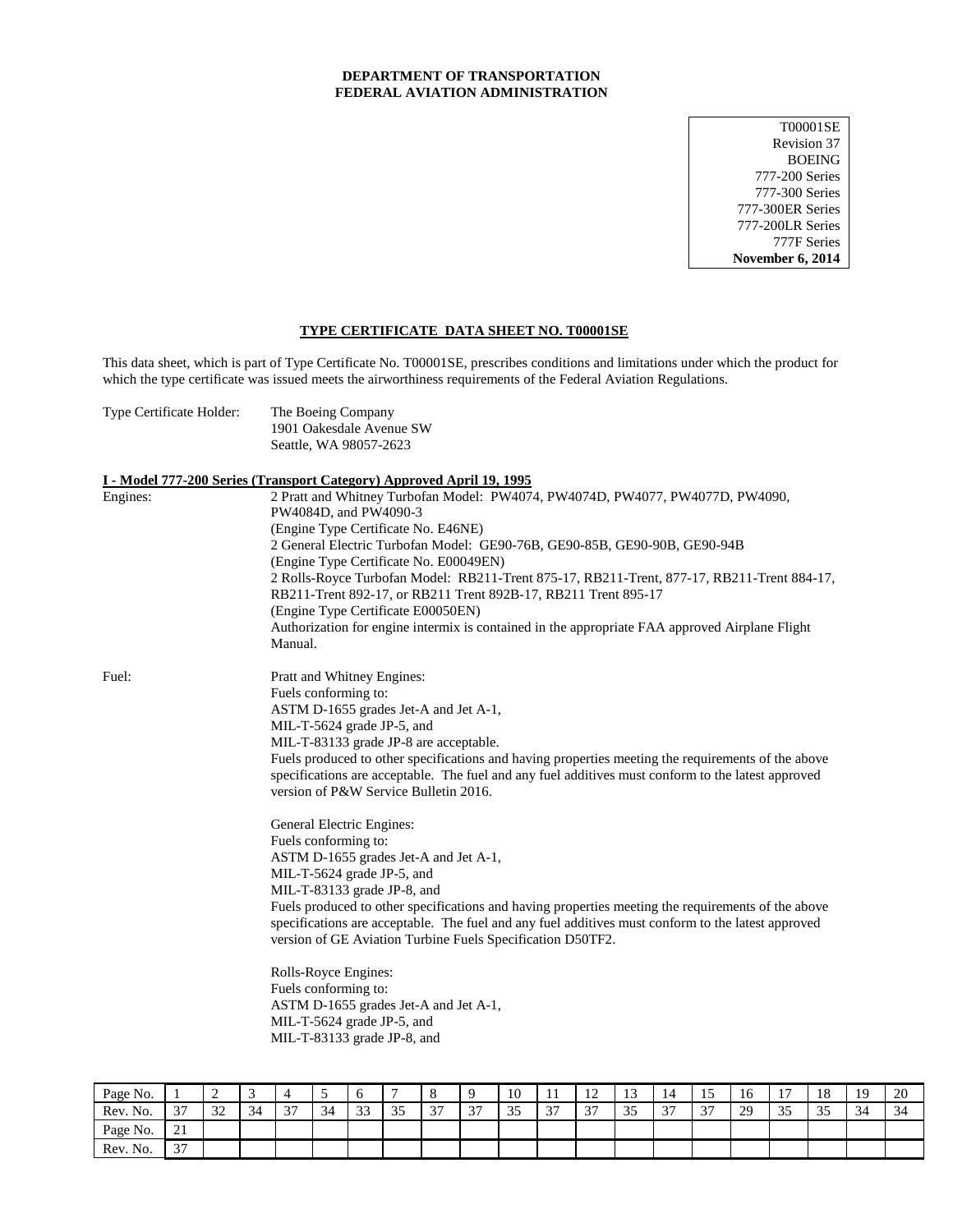### **DEPARTMENT OF TRANSPORTATION FEDERAL AVIATION ADMINISTRATION**

T00001SE Revision 37 BOEING 777-200 Series 777-300 Series 777-300ER Series 777-200LR Series 777F Series **November 6, 2014**

# **TYPE CERTIFICATE DATA SHEET NO. T00001SE**

This data sheet, which is part of Type Certificate No. T00001SE, prescribes conditions and limitations under which the product for which the type certificate was issued meets the airworthiness requirements of the Federal Aviation Regulations.

| Type Certificate Holder: | The Boeing Company                                                                                        |  |  |  |  |  |  |  |
|--------------------------|-----------------------------------------------------------------------------------------------------------|--|--|--|--|--|--|--|
|                          | 1901 Oakesdale Avenue SW                                                                                  |  |  |  |  |  |  |  |
|                          | Seattle, WA 98057-2623                                                                                    |  |  |  |  |  |  |  |
|                          | I - Model 777-200 Series (Transport Category) Approved April 19, 1995                                     |  |  |  |  |  |  |  |
| Engines:                 | 2 Pratt and Whitney Turbofan Model: PW4074, PW4074D, PW4077, PW4077D, PW4090,                             |  |  |  |  |  |  |  |
|                          | PW4084D, and PW4090-3                                                                                     |  |  |  |  |  |  |  |
|                          | (Engine Type Certificate No. E46NE)                                                                       |  |  |  |  |  |  |  |
|                          | 2 General Electric Turbofan Model: GE90-76B, GE90-85B, GE90-90B, GE90-94B                                 |  |  |  |  |  |  |  |
|                          | (Engine Type Certificate No. E00049EN)                                                                    |  |  |  |  |  |  |  |
|                          | 2 Rolls-Royce Turbofan Model: RB211-Trent 875-17, RB211-Trent, 877-17, RB211-Trent 884-17,                |  |  |  |  |  |  |  |
|                          | RB211-Trent 892-17, or RB211 Trent 892B-17, RB211 Trent 895-17                                            |  |  |  |  |  |  |  |
|                          | (Engine Type Certificate E00050EN)                                                                        |  |  |  |  |  |  |  |
|                          | Authorization for engine intermix is contained in the appropriate FAA approved Airplane Flight<br>Manual. |  |  |  |  |  |  |  |
|                          |                                                                                                           |  |  |  |  |  |  |  |
| Fuel:                    | Pratt and Whitney Engines:                                                                                |  |  |  |  |  |  |  |
|                          | Fuels conforming to:                                                                                      |  |  |  |  |  |  |  |
|                          | ASTM D-1655 grades Jet-A and Jet A-1,                                                                     |  |  |  |  |  |  |  |
|                          | MIL-T-5624 grade JP-5, and                                                                                |  |  |  |  |  |  |  |
|                          | MIL-T-83133 grade JP-8 are acceptable.                                                                    |  |  |  |  |  |  |  |
|                          | Fuels produced to other specifications and having properties meeting the requirements of the above        |  |  |  |  |  |  |  |
|                          | specifications are acceptable. The fuel and any fuel additives must conform to the latest approved        |  |  |  |  |  |  |  |
|                          | version of P&W Service Bulletin 2016.                                                                     |  |  |  |  |  |  |  |
|                          | General Electric Engines:                                                                                 |  |  |  |  |  |  |  |
|                          | Fuels conforming to:                                                                                      |  |  |  |  |  |  |  |
|                          | ASTM D-1655 grades Jet-A and Jet A-1,                                                                     |  |  |  |  |  |  |  |
|                          | MIL-T-5624 grade JP-5, and                                                                                |  |  |  |  |  |  |  |
|                          | MIL-T-83133 grade JP-8, and                                                                               |  |  |  |  |  |  |  |
|                          | Fuels produced to other specifications and having properties meeting the requirements of the above        |  |  |  |  |  |  |  |
|                          | specifications are acceptable. The fuel and any fuel additives must conform to the latest approved        |  |  |  |  |  |  |  |
|                          | version of GE Aviation Turbine Fuels Specification D50TF2.                                                |  |  |  |  |  |  |  |
|                          | Rolls-Royce Engines:                                                                                      |  |  |  |  |  |  |  |
|                          | Fuels conforming to:                                                                                      |  |  |  |  |  |  |  |
|                          | ASTM D-1655 grades Jet-A and Jet A-1,                                                                     |  |  |  |  |  |  |  |
|                          | MIL-T-5624 grade JP-5, and                                                                                |  |  |  |  |  |  |  |
|                          | MIL-T-83133 grade JP-8, and                                                                               |  |  |  |  |  |  |  |

| Page No. |                                    | $\overline{\phantom{a}}$<br>∼ | ⌒<br>ب |                                 |    | υ                       |                    |             |               | 10      | . .         | $\sim$<br>$\overline{1}$ | $\sim$<br>ر د | - 4<br>14   |               | -<br>16 | 1 <sub>n</sub><br>л. | 18                  | 1 Q<br>. .   | 20             |
|----------|------------------------------------|-------------------------------|--------|---------------------------------|----|-------------------------|--------------------|-------------|---------------|---------|-------------|--------------------------|---------------|-------------|---------------|---------|----------------------|---------------------|--------------|----------------|
| Rev. No. | $\sim$<br>$\overline{\phantom{a}}$ | $\sim$<br>ے ر                 | 34     | $\sim$<br>$\tilde{\phantom{a}}$ | 34 | $\bigcap$<br>-11<br>ر ر | $\sim$ $\sim$<br>ັ | $\sim$<br>◡ | $\sim$<br>، ب | 25<br>ັ | $\sim$<br>◡ | $\sim$<br>، ب            | $\Omega$<br>ັ | $\sim$<br>້ | $\sim$<br>، ب | 29      | $\Omega$<br>-5       | $\sim$ $\sim$<br>ັບ | $\sim$<br>ہر | $\sim$<br>- 34 |
| Page No. | $\sim$ $\sim$<br>$\sim$ 1          |                               |        |                                 |    |                         |                    |             |               |         |             |                          |               |             |               |         |                      |                     |              |                |
| Rev. No. | $\sim$<br>ຼ                        |                               |        |                                 |    |                         |                    |             |               |         |             |                          |               |             |               |         |                      |                     |              |                |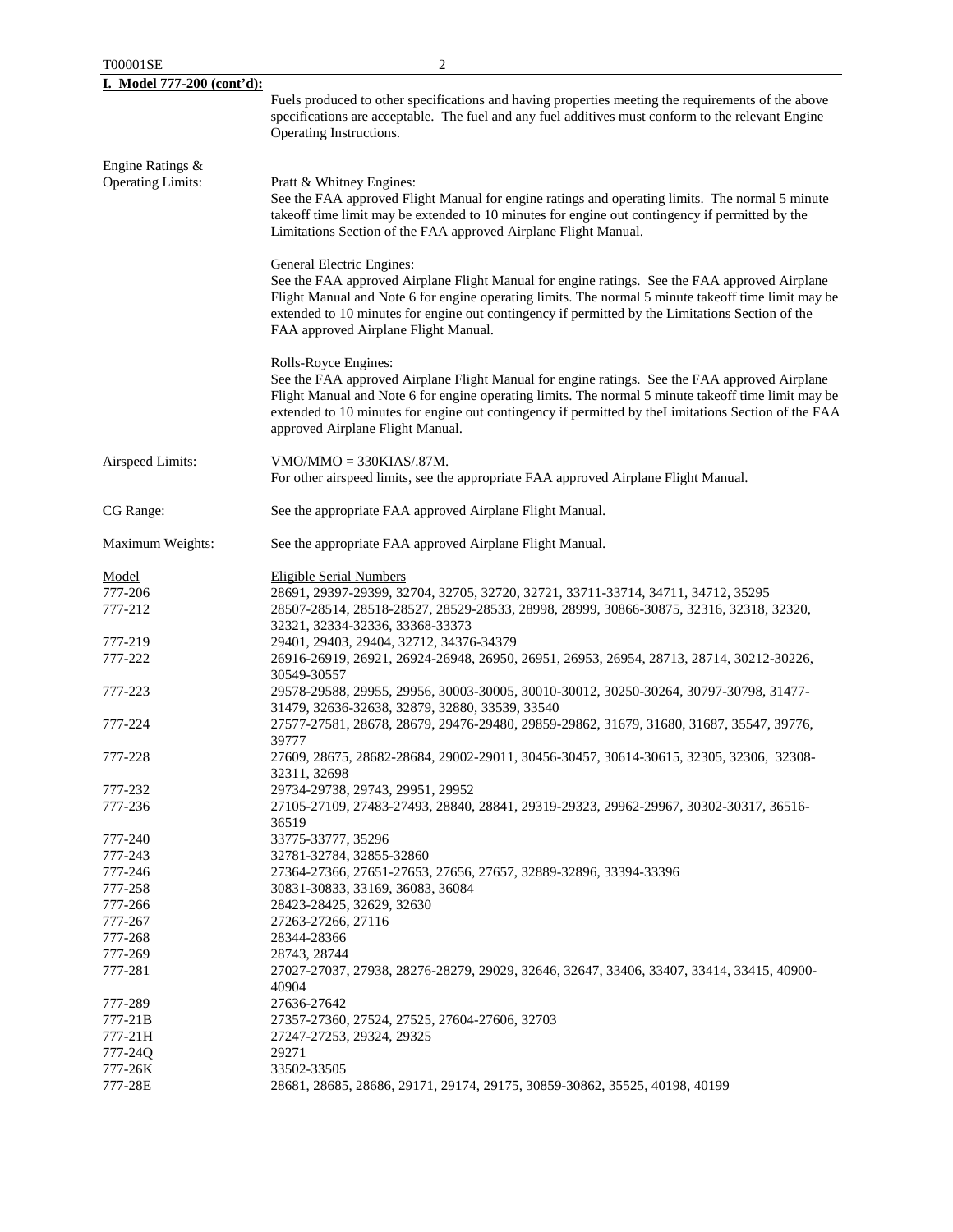| T00001SE                                     | 2                                                                                                                                                                                                                                                                                                                                                                             |
|----------------------------------------------|-------------------------------------------------------------------------------------------------------------------------------------------------------------------------------------------------------------------------------------------------------------------------------------------------------------------------------------------------------------------------------|
| I. Model 777-200 (cont'd):                   |                                                                                                                                                                                                                                                                                                                                                                               |
|                                              | Fuels produced to other specifications and having properties meeting the requirements of the above<br>specifications are acceptable. The fuel and any fuel additives must conform to the relevant Engine<br>Operating Instructions.                                                                                                                                           |
| Engine Ratings &<br><b>Operating Limits:</b> | Pratt & Whitney Engines:<br>See the FAA approved Flight Manual for engine ratings and operating limits. The normal 5 minute<br>takeoff time limit may be extended to 10 minutes for engine out contingency if permitted by the<br>Limitations Section of the FAA approved Airplane Flight Manual.                                                                             |
|                                              | General Electric Engines:<br>See the FAA approved Airplane Flight Manual for engine ratings. See the FAA approved Airplane<br>Flight Manual and Note 6 for engine operating limits. The normal 5 minute takeoff time limit may be<br>extended to 10 minutes for engine out contingency if permitted by the Limitations Section of the<br>FAA approved Airplane Flight Manual. |
|                                              | Rolls-Royce Engines:<br>See the FAA approved Airplane Flight Manual for engine ratings. See the FAA approved Airplane<br>Flight Manual and Note 6 for engine operating limits. The normal 5 minute takeoff time limit may be<br>extended to 10 minutes for engine out contingency if permitted by the Limitations Section of the FAA<br>approved Airplane Flight Manual.      |
| Airspeed Limits:                             | $VMO/MMO = 330KIAS/0.87M.$<br>For other airspeed limits, see the appropriate FAA approved Airplane Flight Manual.                                                                                                                                                                                                                                                             |
| CG Range:                                    | See the appropriate FAA approved Airplane Flight Manual.                                                                                                                                                                                                                                                                                                                      |
| Maximum Weights:                             | See the appropriate FAA approved Airplane Flight Manual.                                                                                                                                                                                                                                                                                                                      |
| Model                                        | <b>Eligible Serial Numbers</b>                                                                                                                                                                                                                                                                                                                                                |
| 777-206                                      | 28691, 29397-29399, 32704, 32705, 32720, 32721, 33711-33714, 34711, 34712, 35295                                                                                                                                                                                                                                                                                              |
| 777-212                                      | 28507-28514, 28518-28527, 28529-28533, 28998, 28999, 30866-30875, 32316, 32318, 32320,<br>32321, 32334-32336, 33368-33373                                                                                                                                                                                                                                                     |
| 777-219                                      | 29401, 29403, 29404, 32712, 34376-34379                                                                                                                                                                                                                                                                                                                                       |
| 777-222                                      | 26916-26919, 26921, 26924-26948, 26950, 26951, 26953, 26954, 28713, 28714, 30212-30226,                                                                                                                                                                                                                                                                                       |
|                                              | 30549-30557                                                                                                                                                                                                                                                                                                                                                                   |
| 777-223                                      | 29578-29588, 29955, 29956, 30003-30005, 30010-30012, 30250-30264, 30797-30798, 31477-<br>31479, 32636-32638, 32879, 32880, 33539, 33540                                                                                                                                                                                                                                       |
| 777-224                                      | 27577-27581, 28678, 28679, 29476-29480, 29859-29862, 31679, 31680, 31687, 35547, 39776,<br>39777                                                                                                                                                                                                                                                                              |
| 777-228                                      | 27609, 28675, 28682-28684, 29002-29011, 30456-30457, 30614-30615, 32305, 32306, 32308-<br>32311, 32698                                                                                                                                                                                                                                                                        |
| 777-232                                      | 29734-29738, 29743, 29951, 29952                                                                                                                                                                                                                                                                                                                                              |
| 777-236                                      | 27105-27109, 27483-27493, 28840, 28841, 29319-29323, 29962-29967, 30302-30317, 36516-<br>36519                                                                                                                                                                                                                                                                                |
| 777-240                                      | 33775-33777, 35296                                                                                                                                                                                                                                                                                                                                                            |
| 777-243                                      | 32781-32784, 32855-32860                                                                                                                                                                                                                                                                                                                                                      |
| 777-246                                      | 27364-27366, 27651-27653, 27656, 27657, 32889-32896, 33394-33396                                                                                                                                                                                                                                                                                                              |
|                                              |                                                                                                                                                                                                                                                                                                                                                                               |
| 777-258                                      | 30831-30833, 33169, 36083, 36084                                                                                                                                                                                                                                                                                                                                              |
| 777-266                                      | 28423-28425, 32629, 32630                                                                                                                                                                                                                                                                                                                                                     |
| 777-267                                      | 27263-27266, 27116                                                                                                                                                                                                                                                                                                                                                            |
| 777-268                                      | 28344-28366                                                                                                                                                                                                                                                                                                                                                                   |
| 777-269                                      | 28743, 28744                                                                                                                                                                                                                                                                                                                                                                  |
| 777-281                                      | 27027-27037, 27938, 28276-28279, 29029, 32646, 32647, 33406, 33407, 33414, 33415, 40900-<br>40904                                                                                                                                                                                                                                                                             |
|                                              |                                                                                                                                                                                                                                                                                                                                                                               |
| 777-289                                      | 27636-27642                                                                                                                                                                                                                                                                                                                                                                   |
| 777-21B                                      | 27357-27360, 27524, 27525, 27604-27606, 32703                                                                                                                                                                                                                                                                                                                                 |
| 777-21H                                      | 27247-27253, 29324, 29325                                                                                                                                                                                                                                                                                                                                                     |
| 777-24Q                                      | 29271                                                                                                                                                                                                                                                                                                                                                                         |
| 777-26K                                      | 33502-33505                                                                                                                                                                                                                                                                                                                                                                   |
| 777-28E                                      | 28681, 28685, 28686, 29171, 29174, 29175, 30859-30862, 35525, 40198, 40199                                                                                                                                                                                                                                                                                                    |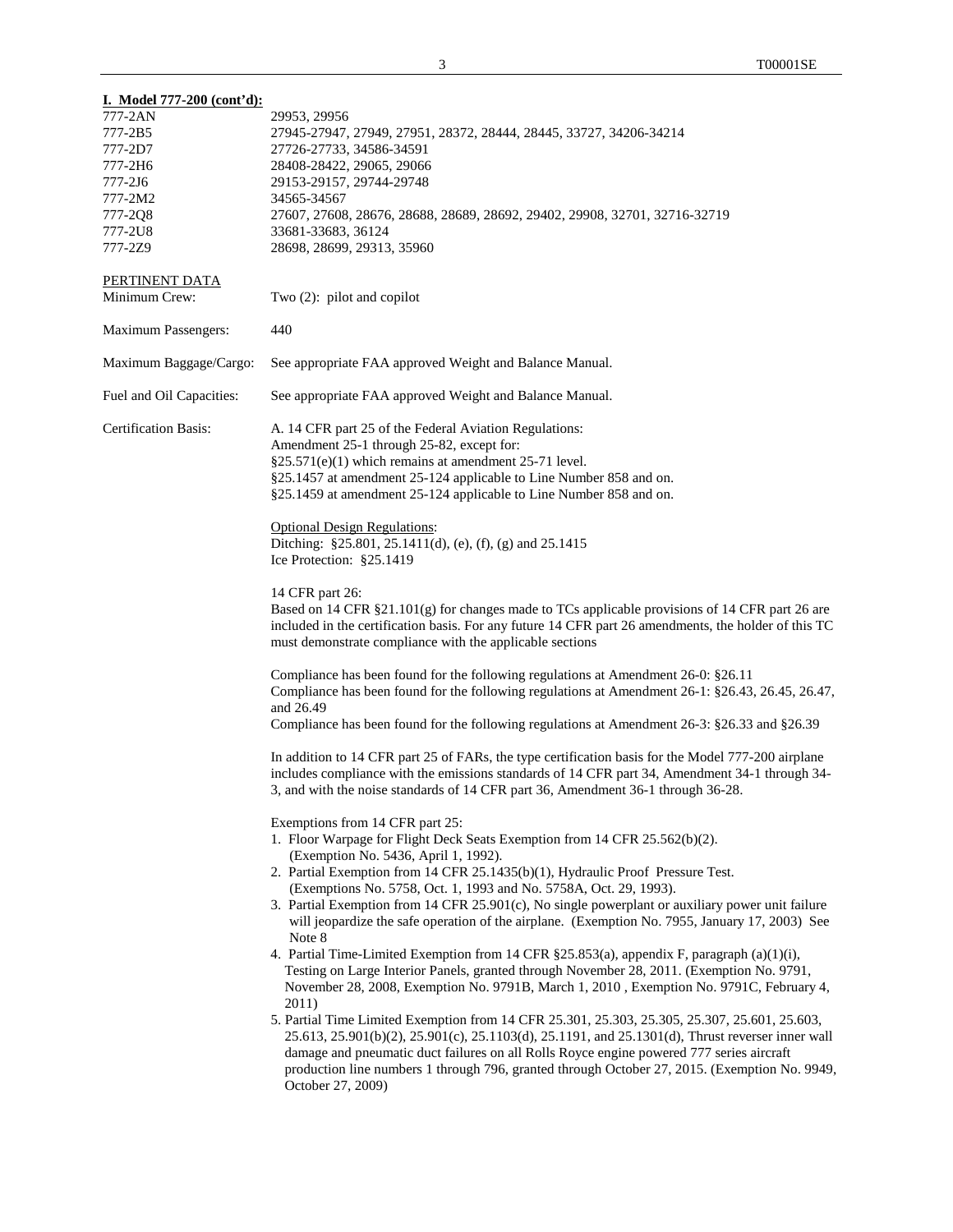| <u>I. Model 777-200 (cont'd):</u> |                                                                                                                                                     |
|-----------------------------------|-----------------------------------------------------------------------------------------------------------------------------------------------------|
| 777-2AN                           | 29953, 29956                                                                                                                                        |
| 777-2B5                           | 27945-27947, 27949, 27951, 28372, 28444, 28445, 33727, 34206-34214                                                                                  |
| 777-2D7                           | 27726-27733, 34586-34591                                                                                                                            |
| 777-2H6                           | 28408-28422, 29065, 29066                                                                                                                           |
| $777 - 2J6$                       | 29153-29157, 29744-29748                                                                                                                            |
| 777-2M2                           | 34565-34567                                                                                                                                         |
| 777-2Q8                           | 27607, 27608, 28676, 28688, 28689, 28692, 29402, 29908, 32701, 32716-32719                                                                          |
| 777-2U8                           | 33681-33683, 36124                                                                                                                                  |
| 777-2Z9                           | 28698, 28699, 29313, 35960                                                                                                                          |
| PERTINENT DATA<br>Minimum Crew:   | Two $(2)$ : pilot and copilot                                                                                                                       |
|                                   |                                                                                                                                                     |
| <b>Maximum Passengers:</b>        | 440                                                                                                                                                 |
| Maximum Baggage/Cargo:            | See appropriate FAA approved Weight and Balance Manual.                                                                                             |
| Fuel and Oil Capacities:          | See appropriate FAA approved Weight and Balance Manual.                                                                                             |
| <b>Certification Basis:</b>       | A. 14 CFR part 25 of the Federal Aviation Regulations:                                                                                              |
|                                   | Amendment 25-1 through 25-82, except for:                                                                                                           |
|                                   | §25.571(e)(1) which remains at amendment 25-71 level.                                                                                               |
|                                   | §25.1457 at amendment 25-124 applicable to Line Number 858 and on.                                                                                  |
|                                   | §25.1459 at amendment 25-124 applicable to Line Number 858 and on.                                                                                  |
|                                   | <b>Optional Design Regulations:</b>                                                                                                                 |
|                                   | Ditching: §25.801, 25.1411(d), (e), (f), (g) and 25.1415                                                                                            |
|                                   | Ice Protection: §25.1419                                                                                                                            |
|                                   |                                                                                                                                                     |
|                                   | 14 CFR part 26:                                                                                                                                     |
|                                   | Based on 14 CFR §21.101(g) for changes made to TCs applicable provisions of 14 CFR part 26 are                                                      |
|                                   | included in the certification basis. For any future 14 CFR part 26 amendments, the holder of this TC                                                |
|                                   | must demonstrate compliance with the applicable sections                                                                                            |
|                                   | Compliance has been found for the following regulations at Amendment 26-0: §26.11                                                                   |
|                                   | Compliance has been found for the following regulations at Amendment 26-1: §26.43, 26.45, 26.47,                                                    |
|                                   | and 26.49                                                                                                                                           |
|                                   | Compliance has been found for the following regulations at Amendment 26-3: §26.33 and §26.39                                                        |
|                                   |                                                                                                                                                     |
|                                   | In addition to 14 CFR part 25 of FARs, the type certification basis for the Model 777-200 airplane                                                  |
|                                   | includes compliance with the emissions standards of 14 CFR part 34, Amendment 34-1 through 34-                                                      |
|                                   | 3, and with the noise standards of 14 CFR part 36, Amendment 36-1 through 36-28.                                                                    |
|                                   |                                                                                                                                                     |
|                                   | Exemptions from 14 CFR part 25:<br>1. Floor Warpage for Flight Deck Seats Exemption from 14 CFR 25.562(b)(2).                                       |
|                                   |                                                                                                                                                     |
|                                   | (Exemption No. 5436, April 1, 1992).                                                                                                                |
|                                   | 2. Partial Exemption from 14 CFR 25.1435(b)(1), Hydraulic Proof Pressure Test.<br>(Exemptions No. 5758, Oct. 1, 1993 and No. 5758A, Oct. 29, 1993). |
|                                   | 3. Partial Exemption from 14 CFR 25.901(c), No single powerplant or auxiliary power unit failure                                                    |
|                                   | will jeopardize the safe operation of the airplane. (Exemption No. 7955, January 17, 2003) See                                                      |
|                                   | Note 8                                                                                                                                              |
|                                   | 4. Partial Time-Limited Exemption from 14 CFR §25.853(a), appendix F, paragraph (a)(1)(i),                                                          |
|                                   | Testing on Large Interior Panels, granted through November 28, 2011. (Exemption No. 9791,                                                           |
|                                   | November 28, 2008, Exemption No. 9791B, March 1, 2010, Exemption No. 9791C, February 4,                                                             |
|                                   | 2011)                                                                                                                                               |
|                                   | 5. Partial Time Limited Exemption from 14 CFR 25.301, 25.303, 25.305, 25.307, 25.601, 25.603,                                                       |
|                                   | 25.613, 25.901(b)(2), 25.901(c), 25.1103(d), 25.1191, and 25.1301(d), Thrust reverser inner wall                                                    |
|                                   | damage and pneumatic duct failures on all Rolls Royce engine powered 777 series aircraft                                                            |
|                                   | production line numbers 1 through 796, granted through October 27, 2015. (Exemption No. 9949,                                                       |
|                                   | October 27, 2009)                                                                                                                                   |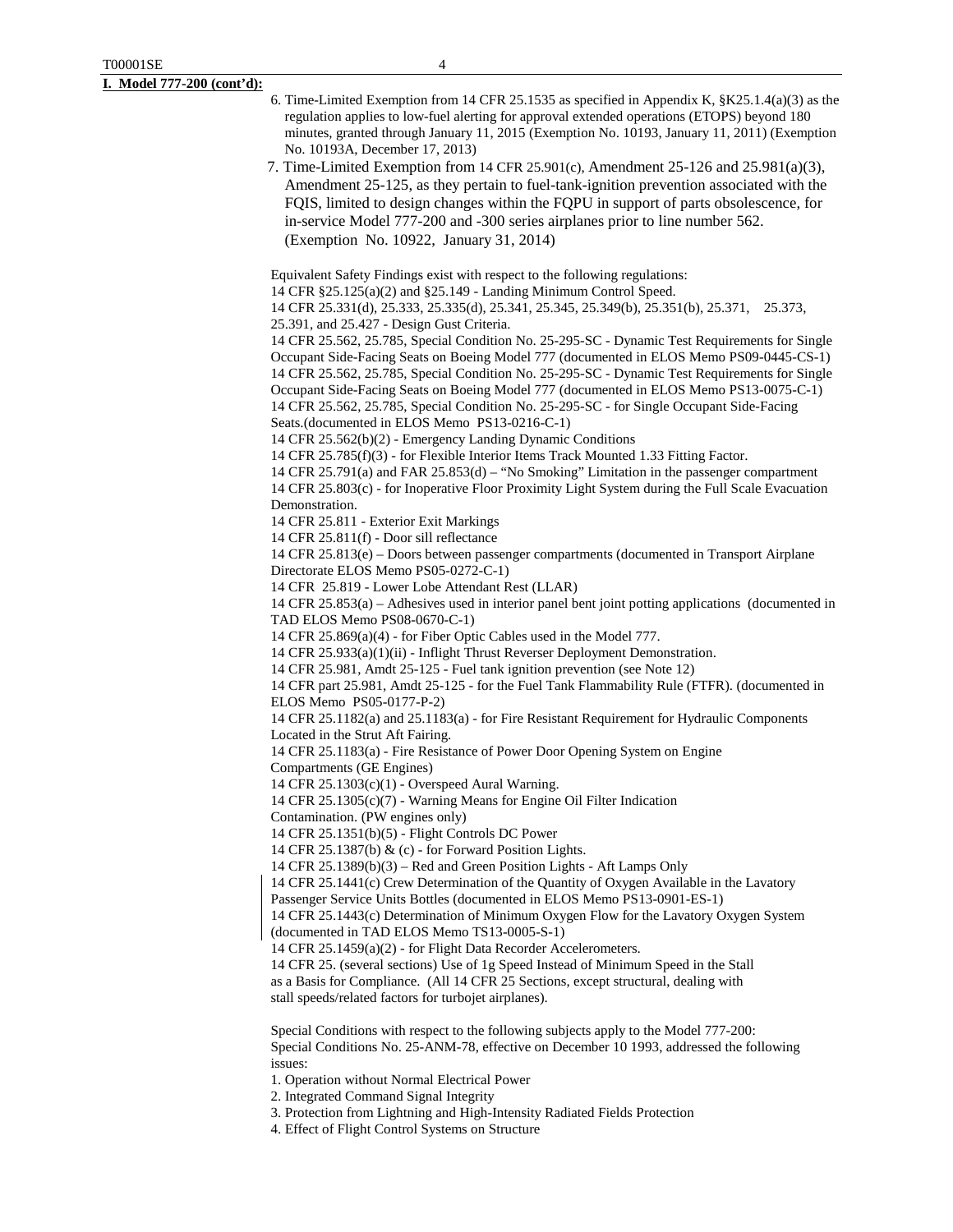- 6. Time-Limited Exemption from 14 CFR 25.1535 as specified in Appendix K, §K25.1.4(a)(3) as the regulation applies to low-fuel alerting for approval extended operations (ETOPS) beyond 180 minutes, granted through January 11, 2015 (Exemption No. 10193, January 11, 2011) (Exemption No. 10193A, December 17, 2013)
- 7. Time-Limited Exemption from 14 CFR 25.901(c), Amendment 25-126 and 25.981(a)(3), Amendment 25-125, as they pertain to fuel-tank-ignition prevention associated with the FQIS, limited to design changes within the FQPU in support of parts obsolescence, for in-service Model 777-200 and -300 series airplanes prior to line number 562. (Exemption No. 10922, January 31, 2014)

Equivalent Safety Findings exist with respect to the following regulations:

14 CFR §25.125(a)(2) and §25.149 - Landing Minimum Control Speed.

14 CFR 25.331(d), 25.333, 25.335(d), 25.341, 25.345, 25.349(b), 25.351(b), 25.371, 25.373,

25.391, and 25.427 - Design Gust Criteria.

14 CFR 25.562, 25.785, Special Condition No. 25-295-SC - Dynamic Test Requirements for Single Occupant Side-Facing Seats on Boeing Model 777 (documented in ELOS Memo PS09-0445-CS-1) 14 CFR 25.562, 25.785, Special Condition No. 25-295-SC - Dynamic Test Requirements for Single Occupant Side-Facing Seats on Boeing Model 777 (documented in ELOS Memo PS13-0075-C-1) 14 CFR 25.562, 25.785, Special Condition No. 25-295-SC - for Single Occupant Side-Facing Seats.(documented in ELOS Memo PS13-0216-C-1)

14 CFR 25.562(b)(2) - Emergency Landing Dynamic Conditions

14 CFR 25.785(f)(3) - for Flexible Interior Items Track Mounted 1.33 Fitting Factor.

14 CFR 25.791(a) and FAR 25.853(d) – "No Smoking" Limitation in the passenger compartment 14 CFR 25.803(c) - for Inoperative Floor Proximity Light System during the Full Scale Evacuation Demonstration.

14 CFR 25.811 - Exterior Exit Markings

14 CFR 25.811(f) - Door sill reflectance

14 CFR 25.813(e) – Doors between passenger compartments (documented in Transport Airplane Directorate ELOS Memo PS05-0272-C-1)

14 CFR 25.819 - Lower Lobe Attendant Rest (LLAR)

14 CFR 25.853(a) – Adhesives used in interior panel bent joint potting applications (documented in TAD ELOS Memo PS08-0670-C-1)

14 CFR 25.869(a)(4) - for Fiber Optic Cables used in the Model 777.

14 CFR 25.933(a)(1)(ii) - Inflight Thrust Reverser Deployment Demonstration.

14 CFR 25.981, Amdt 25-125 - Fuel tank ignition prevention (see Note 12)

14 CFR part 25.981, Amdt 25-125 - for the Fuel Tank Flammability Rule (FTFR). (documented in ELOS Memo PS05-0177-P-2)

14 CFR 25.1182(a) and 25.1183(a) - for Fire Resistant Requirement for Hydraulic Components Located in the Strut Aft Fairing.

14 CFR 25.1183(a) - Fire Resistance of Power Door Opening System on Engine

Compartments (GE Engines)

14 CFR 25.1303(c)(1) - Overspeed Aural Warning.

14 CFR 25.1305(c)(7) - Warning Means for Engine Oil Filter Indication

Contamination. (PW engines only)

14 CFR 25.1351(b)(5) - Flight Controls DC Power

14 CFR 25.1387(b) & (c) - for Forward Position Lights.

14 CFR 25.1389(b)(3) – Red and Green Position Lights - Aft Lamps Only

14 CFR 25.1441(c) Crew Determination of the Quantity of Oxygen Available in the Lavatory

Passenger Service Units Bottles (documented in ELOS Memo PS13-0901-ES-1)

14 CFR 25.1443(c) Determination of Minimum Oxygen Flow for the Lavatory Oxygen System (documented in TAD ELOS Memo TS13-0005-S-1)

14 CFR 25.1459(a)(2) - for Flight Data Recorder Accelerometers.

14 CFR 25. (several sections) Use of 1g Speed Instead of Minimum Speed in the Stall as a Basis for Compliance. (All 14 CFR 25 Sections, except structural, dealing with stall speeds/related factors for turbojet airplanes).

Special Conditions with respect to the following subjects apply to the Model 777-200: Special Conditions No. 25-ANM-78, effective on December 10 1993, addressed the following issues:

1. Operation without Normal Electrical Power

2. Integrated Command Signal Integrity

3. Protection from Lightning and High-Intensity Radiated Fields Protection

4. Effect of Flight Control Systems on Structure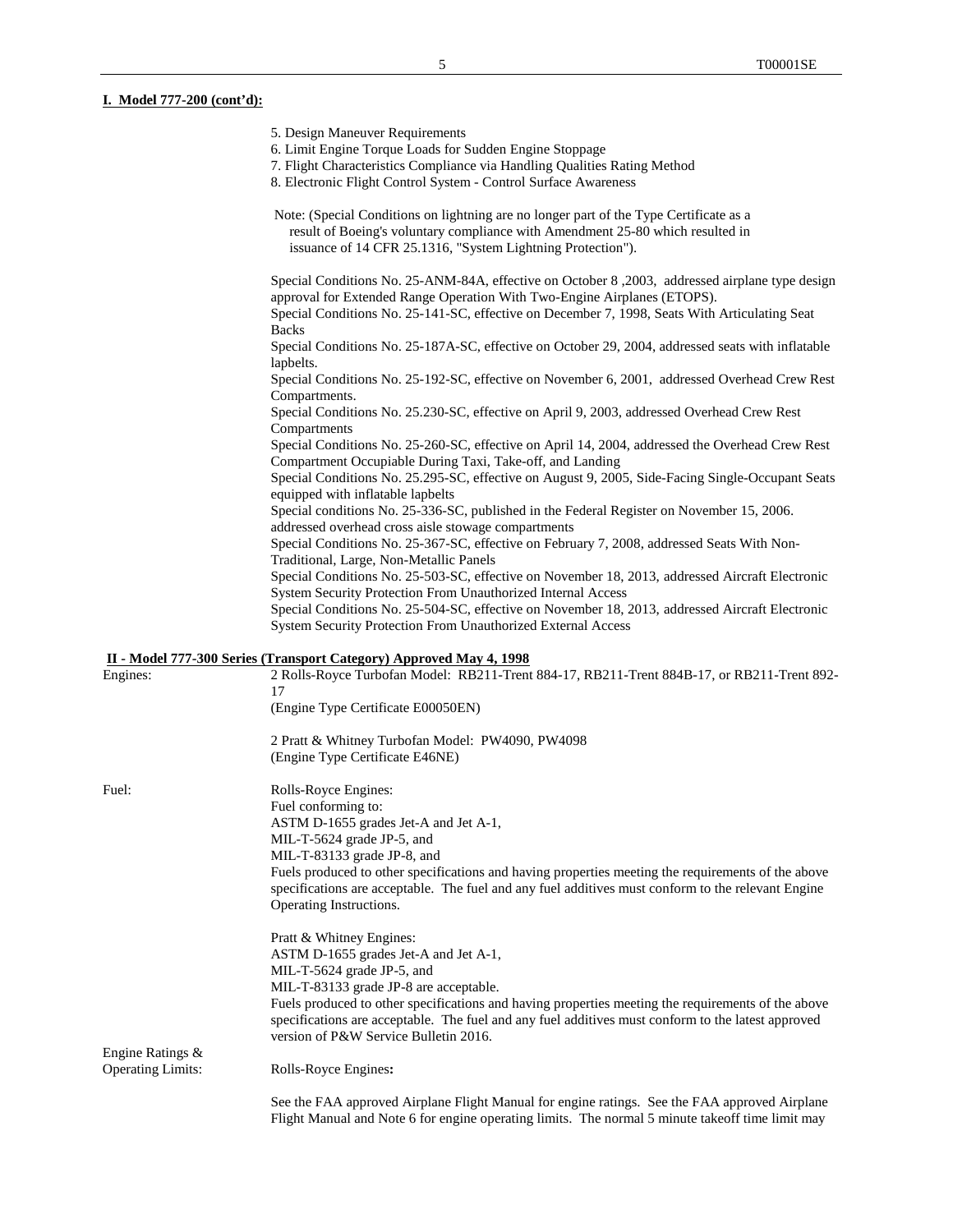### **I. Model 777-200 (cont'd):**

| 5. Design Maneuver Requirements |  |
|---------------------------------|--|
|---------------------------------|--|

- 6. Limit Engine Torque Loads for Sudden Engine Stoppage
- 7. Flight Characteristics Compliance via Handling Qualities Rating Method
- 8. Electronic Flight Control System Control Surface Awareness
- Note: (Special Conditions on lightning are no longer part of the Type Certificate as a result of Boeing's voluntary compliance with Amendment 25-80 which resulted in issuance of 14 CFR 25.1316, "System Lightning Protection").

Special Conditions No. 25-ANM-84A, effective on October 8 ,2003, addressed airplane type design approval for Extended Range Operation With Two-Engine Airplanes (ETOPS). Special Conditions No. 25-141-SC, effective on December 7, 1998, Seats With Articulating Seat Backs Special Conditions No. 25-187A-SC, effective on October 29, 2004, addressed seats with inflatable

lapbelts. Special Conditions No. 25-192-SC, effective on November 6, 2001, addressed Overhead Crew Rest

Compartments.

Special Conditions No. 25.230-SC, effective on April 9, 2003, addressed Overhead Crew Rest Compartments

Special Conditions No. 25-260-SC, effective on April 14, 2004, addressed the Overhead Crew Rest Compartment Occupiable During Taxi, Take-off, and Landing

Special Conditions No. 25.295-SC, effective on August 9, 2005, Side-Facing Single-Occupant Seats equipped with inflatable lapbelts

Special conditions No. 25-336-SC, published in the Federal Register on November 15, 2006. addressed overhead cross aisle stowage compartments

Special Conditions No. 25-367-SC, effective on February 7, 2008, addressed Seats With Non-Traditional, Large, Non-Metallic Panels

Special Conditions No. 25-503-SC, effective on November 18, 2013, addressed Aircraft Electronic System Security Protection From Unauthorized Internal Access

Special Conditions No. 25-504-SC, effective on November 18, 2013, addressed Aircraft Electronic System Security Protection From Unauthorized External Access

### **II - Model 777-300 Series (Transport Category) Approved May 4, 1998**

| Engines:                 | 2 Rolls-Royce Turbofan Model: RB211-Trent 884-17, RB211-Trent 884B-17, or RB211-Trent 892-<br>17                                            |
|--------------------------|---------------------------------------------------------------------------------------------------------------------------------------------|
|                          | (Engine Type Certificate E00050EN)                                                                                                          |
|                          | 2 Pratt & Whitney Turbofan Model: PW4090, PW4098                                                                                            |
|                          | (Engine Type Certificate E46NE)                                                                                                             |
| Fuel:                    | Rolls-Royce Engines:                                                                                                                        |
|                          | Fuel conforming to:                                                                                                                         |
|                          | ASTM D-1655 grades Jet-A and Jet A-1,                                                                                                       |
|                          | MIL-T-5624 grade JP-5, and                                                                                                                  |
|                          | MIL-T-83133 grade JP-8, and                                                                                                                 |
|                          | Fuels produced to other specifications and having properties meeting the requirements of the above                                          |
|                          | specifications are acceptable. The fuel and any fuel additives must conform to the relevant Engine                                          |
|                          | Operating Instructions.                                                                                                                     |
|                          | Pratt & Whitney Engines:                                                                                                                    |
|                          | ASTM D-1655 grades Jet-A and Jet A-1,                                                                                                       |
|                          | MIL-T-5624 grade JP-5, and                                                                                                                  |
|                          | MIL-T-83133 grade JP-8 are acceptable.                                                                                                      |
|                          | Fuels produced to other specifications and having properties meeting the requirements of the above                                          |
|                          | specifications are acceptable. The fuel and any fuel additives must conform to the latest approved<br>version of P&W Service Bulletin 2016. |
| Engine Ratings &         |                                                                                                                                             |
| <b>Operating Limits:</b> | Rolls-Royce Engines:                                                                                                                        |
|                          | See the FAA approved Airplane Flight Manual for engine ratings. See the FAA approved Airplane                                               |
|                          | Flight Manual and Note 6 for engine operating limits. The normal 5 minute takeoff time limit may                                            |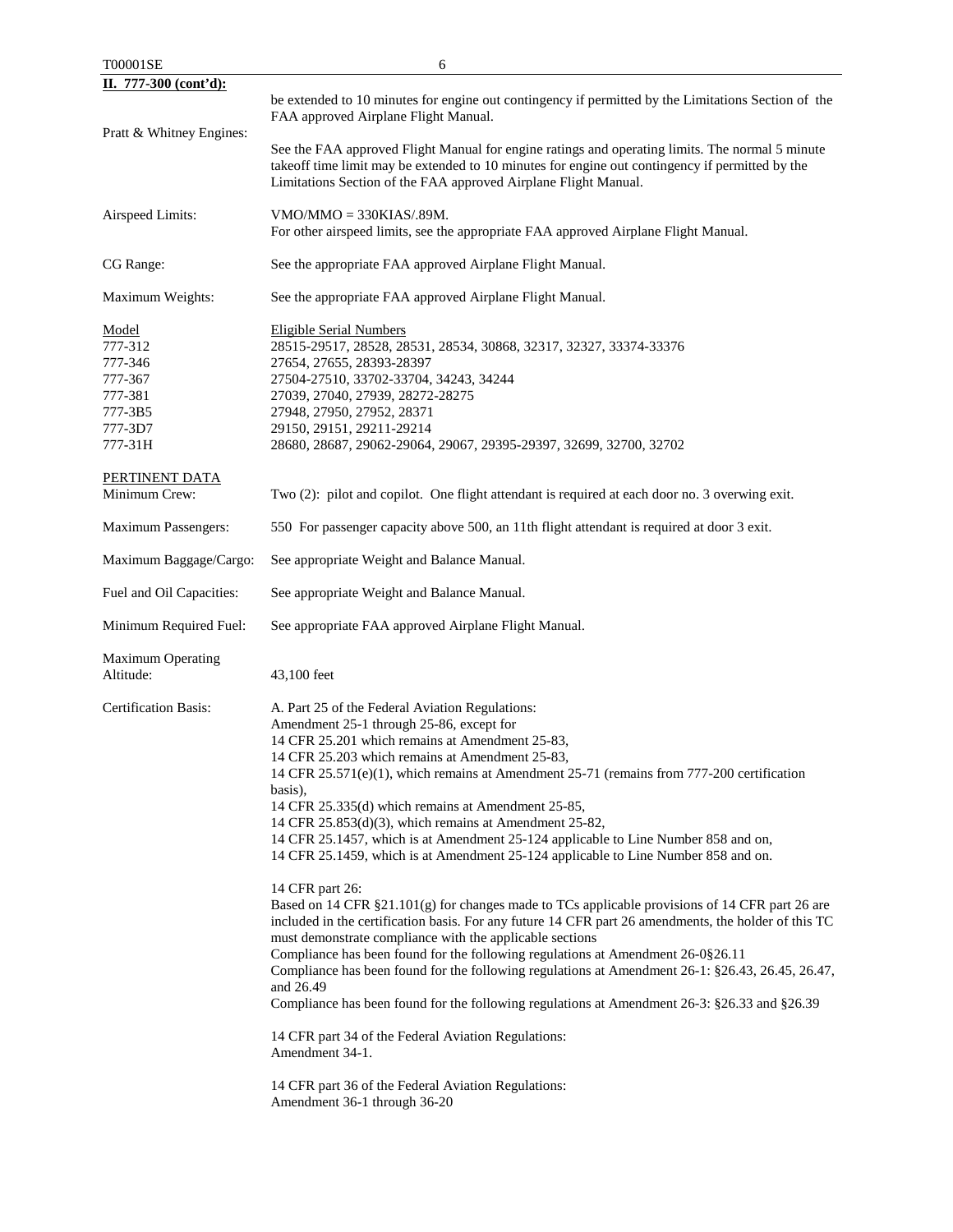| T00001SE                                                                           | 6                                                                                                                                                                                                                                                                                                                                                                                                                                                                                                                                                                                                                                                                                                                          |
|------------------------------------------------------------------------------------|----------------------------------------------------------------------------------------------------------------------------------------------------------------------------------------------------------------------------------------------------------------------------------------------------------------------------------------------------------------------------------------------------------------------------------------------------------------------------------------------------------------------------------------------------------------------------------------------------------------------------------------------------------------------------------------------------------------------------|
| II. 777-300 (cont'd):                                                              |                                                                                                                                                                                                                                                                                                                                                                                                                                                                                                                                                                                                                                                                                                                            |
|                                                                                    | be extended to 10 minutes for engine out contingency if permitted by the Limitations Section of the<br>FAA approved Airplane Flight Manual.                                                                                                                                                                                                                                                                                                                                                                                                                                                                                                                                                                                |
| Pratt & Whitney Engines:                                                           | See the FAA approved Flight Manual for engine ratings and operating limits. The normal 5 minute<br>takeoff time limit may be extended to 10 minutes for engine out contingency if permitted by the<br>Limitations Section of the FAA approved Airplane Flight Manual.                                                                                                                                                                                                                                                                                                                                                                                                                                                      |
| Airspeed Limits:                                                                   | $VMO/MMO = 330KIAS/.89M.$<br>For other airspeed limits, see the appropriate FAA approved Airplane Flight Manual.                                                                                                                                                                                                                                                                                                                                                                                                                                                                                                                                                                                                           |
| CG Range:                                                                          | See the appropriate FAA approved Airplane Flight Manual.                                                                                                                                                                                                                                                                                                                                                                                                                                                                                                                                                                                                                                                                   |
| Maximum Weights:                                                                   | See the appropriate FAA approved Airplane Flight Manual.                                                                                                                                                                                                                                                                                                                                                                                                                                                                                                                                                                                                                                                                   |
| Model<br>777-312<br>777-346<br>777-367<br>777-381<br>777-3B5<br>777-3D7<br>777-31H | <b>Eligible Serial Numbers</b><br>28515-29517, 28528, 28531, 28534, 30868, 32317, 32327, 33374-33376<br>27654, 27655, 28393-28397<br>27504-27510, 33702-33704, 34243, 34244<br>27039, 27040, 27939, 28272-28275<br>27948, 27950, 27952, 28371<br>29150, 29151, 29211-29214<br>28680, 28687, 29062-29064, 29067, 29395-29397, 32699, 32700, 32702                                                                                                                                                                                                                                                                                                                                                                           |
| PERTINENT DATA<br>Minimum Crew:                                                    | Two (2): pilot and copilot. One flight attendant is required at each door no. 3 overwing exit.                                                                                                                                                                                                                                                                                                                                                                                                                                                                                                                                                                                                                             |
| <b>Maximum Passengers:</b>                                                         | 550 For passenger capacity above 500, an 11th flight attendant is required at door 3 exit.                                                                                                                                                                                                                                                                                                                                                                                                                                                                                                                                                                                                                                 |
| Maximum Baggage/Cargo:                                                             | See appropriate Weight and Balance Manual.                                                                                                                                                                                                                                                                                                                                                                                                                                                                                                                                                                                                                                                                                 |
| Fuel and Oil Capacities:                                                           | See appropriate Weight and Balance Manual.                                                                                                                                                                                                                                                                                                                                                                                                                                                                                                                                                                                                                                                                                 |
| Minimum Required Fuel:                                                             | See appropriate FAA approved Airplane Flight Manual.                                                                                                                                                                                                                                                                                                                                                                                                                                                                                                                                                                                                                                                                       |
| <b>Maximum Operating</b><br>Altitude:                                              | 43,100 feet                                                                                                                                                                                                                                                                                                                                                                                                                                                                                                                                                                                                                                                                                                                |
| <b>Certification Basis:</b>                                                        | A. Part 25 of the Federal Aviation Regulations:<br>Amendment 25-1 through 25-86, except for<br>14 CFR 25.201 which remains at Amendment 25-83,<br>14 CFR 25.203 which remains at Amendment 25-83,<br>14 CFR 25.571(e)(1), which remains at Amendment 25-71 (remains from 777-200 certification<br>basis),<br>14 CFR 25.335(d) which remains at Amendment 25-85,<br>14 CFR 25.853(d)(3), which remains at Amendment 25-82,<br>14 CFR 25.1457, which is at Amendment 25-124 applicable to Line Number 858 and on,<br>14 CFR 25.1459, which is at Amendment 25-124 applicable to Line Number 858 and on.                                                                                                                      |
|                                                                                    | 14 CFR part 26:<br>Based on 14 CFR §21.101(g) for changes made to TCs applicable provisions of 14 CFR part 26 are<br>included in the certification basis. For any future 14 CFR part 26 amendments, the holder of this TC<br>must demonstrate compliance with the applicable sections<br>Compliance has been found for the following regulations at Amendment 26-0§26.11<br>Compliance has been found for the following regulations at Amendment 26-1: §26.43, 26.45, 26.47,<br>and 26.49<br>Compliance has been found for the following regulations at Amendment 26-3: §26.33 and §26.39<br>14 CFR part 34 of the Federal Aviation Regulations:<br>Amendment 34-1.<br>14 CFR part 36 of the Federal Aviation Regulations: |
|                                                                                    | Amendment 36-1 through 36-20                                                                                                                                                                                                                                                                                                                                                                                                                                                                                                                                                                                                                                                                                               |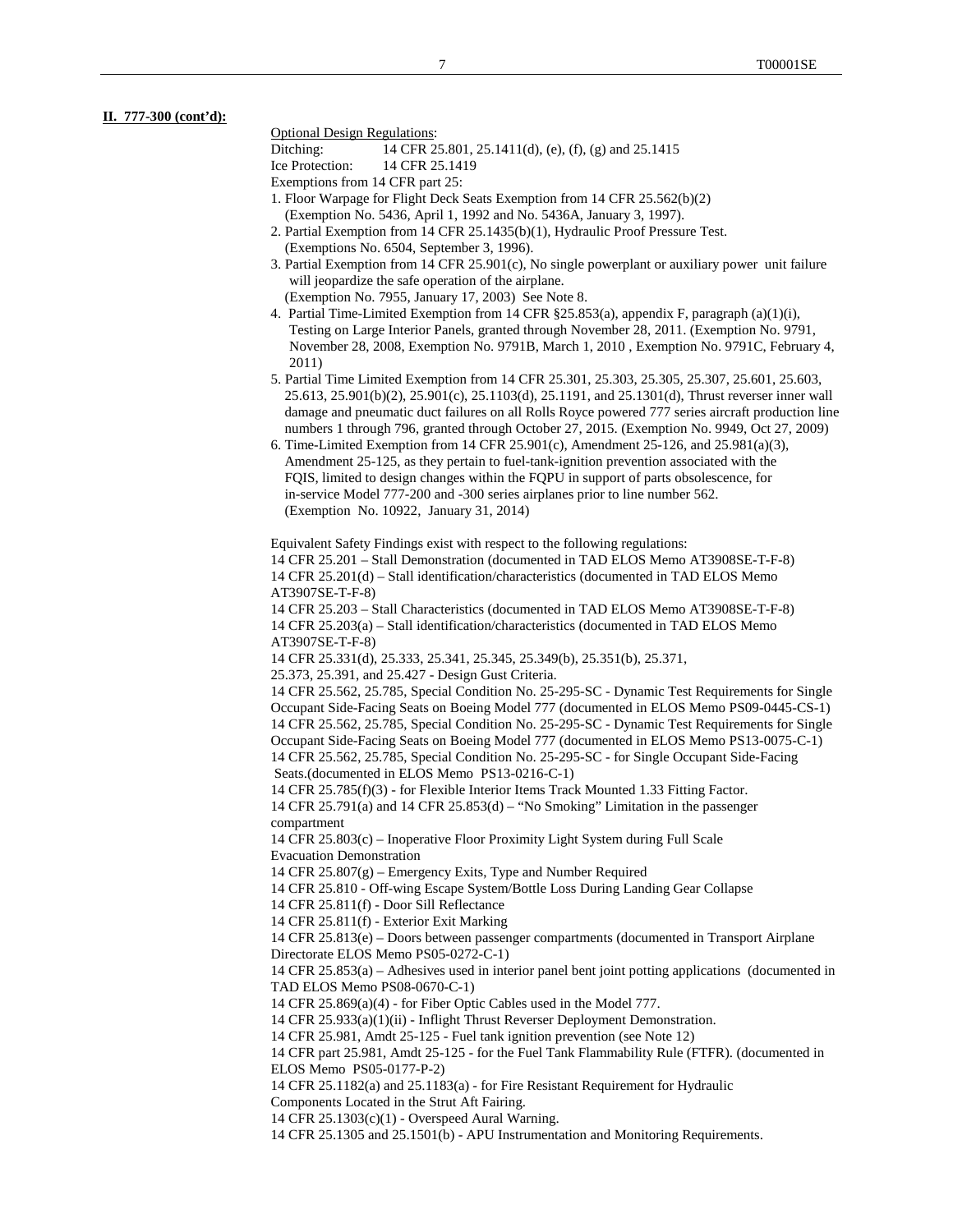**II. 777-300 (cont'd):**

#### Optional Design Regulations:

Ditching: 14 CFR 25.801, 25.1411(d), (e), (f), (g) and 25.1415

Ice Protection: 14 CFR 25.1419

Exemptions from 14 CFR part 25:

- 1. Floor Warpage for Flight Deck Seats Exemption from 14 CFR 25.562(b)(2) (Exemption No. 5436, April 1, 1992 and No. 5436A, January 3, 1997).
- 2. Partial Exemption from 14 CFR 25.1435(b)(1), Hydraulic Proof Pressure Test. (Exemptions No. 6504, September 3, 1996).
- 3. Partial Exemption from 14 CFR 25.901(c), No single powerplant or auxiliary power unit failure will jeopardize the safe operation of the airplane.

(Exemption No. 7955, January 17, 2003) See Note 8.

- 4. Partial Time-Limited Exemption from 14 CFR §25.853(a), appendix F, paragraph (a)(1)(i), Testing on Large Interior Panels, granted through November 28, 2011. (Exemption No. 9791, November 28, 2008, Exemption No. 9791B, March 1, 2010 , Exemption No. 9791C, February 4, 2011)
- 5. Partial Time Limited Exemption from 14 CFR 25.301, 25.303, 25.305, 25.307, 25.601, 25.603, 25.613, 25.901(b)(2), 25.901(c), 25.1103(d), 25.1191, and 25.1301(d), Thrust reverser inner wall damage and pneumatic duct failures on all Rolls Royce powered 777 series aircraft production line numbers 1 through 796, granted through October 27, 2015. (Exemption No. 9949, Oct 27, 2009)
- 6. Time-Limited Exemption from 14 CFR 25.901(c), Amendment 25-126, and 25.981(a)(3), Amendment 25-125, as they pertain to fuel-tank-ignition prevention associated with the FQIS, limited to design changes within the FQPU in support of parts obsolescence, for in-service Model 777-200 and -300 series airplanes prior to line number 562. (Exemption No. 10922, January 31, 2014)

Equivalent Safety Findings exist with respect to the following regulations:

14 CFR 25.201 – Stall Demonstration (documented in TAD ELOS Memo AT3908SE-T-F-8) 14 CFR 25.201(d) – Stall identification/characteristics (documented in TAD ELOS Memo AT3907SE-T-F-8)

14 CFR 25.203 – Stall Characteristics (documented in TAD ELOS Memo AT3908SE-T-F-8) 14 CFR 25.203(a) – Stall identification/characteristics (documented in TAD ELOS Memo AT3907SE-T-F-8)

14 CFR 25.331(d), 25.333, 25.341, 25.345, 25.349(b), 25.351(b), 25.371,

25.373, 25.391, and 25.427 - Design Gust Criteria.

14 CFR 25.562, 25.785, Special Condition No. 25-295-SC - Dynamic Test Requirements for Single Occupant Side-Facing Seats on Boeing Model 777 (documented in ELOS Memo PS09-0445-CS-1) 14 CFR 25.562, 25.785, Special Condition No. 25-295-SC - Dynamic Test Requirements for Single Occupant Side-Facing Seats on Boeing Model 777 (documented in ELOS Memo PS13-0075-C-1) 14 CFR 25.562, 25.785, Special Condition No. 25-295-SC - for Single Occupant Side-Facing Seats.(documented in ELOS Memo PS13-0216-C-1)

14 CFR 25.785(f)(3) - for Flexible Interior Items Track Mounted 1.33 Fitting Factor. 14 CFR 25.791(a) and 14 CFR 25.853(d) – "No Smoking" Limitation in the passenger

compartment

14 CFR 25.803(c) – Inoperative Floor Proximity Light System during Full Scale Evacuation Demonstration

14 CFR 25.807(g) – Emergency Exits, Type and Number Required

14 CFR 25.810 - Off-wing Escape System/Bottle Loss During Landing Gear Collapse

14 CFR 25.811(f) - Door Sill Reflectance

14 CFR 25.811(f) - Exterior Exit Marking

14 CFR 25.813(e) – Doors between passenger compartments (documented in Transport Airplane Directorate ELOS Memo PS05-0272-C-1)

14 CFR 25.853(a) – Adhesives used in interior panel bent joint potting applications (documented in TAD ELOS Memo PS08-0670-C-1)

14 CFR 25.869(a)(4) - for Fiber Optic Cables used in the Model 777.

14 CFR 25.933(a)(1)(ii) - Inflight Thrust Reverser Deployment Demonstration.

14 CFR 25.981, Amdt 25-125 - Fuel tank ignition prevention (see Note 12)

14 CFR part 25.981, Amdt 25-125 - for the Fuel Tank Flammability Rule (FTFR). (documented in ELOS Memo PS05-0177-P-2)

14 CFR 25.1182(a) and 25.1183(a) - for Fire Resistant Requirement for Hydraulic

Components Located in the Strut Aft Fairing.

14 CFR 25.1303(c)(1) - Overspeed Aural Warning.

14 CFR 25.1305 and 25.1501(b) - APU Instrumentation and Monitoring Requirements.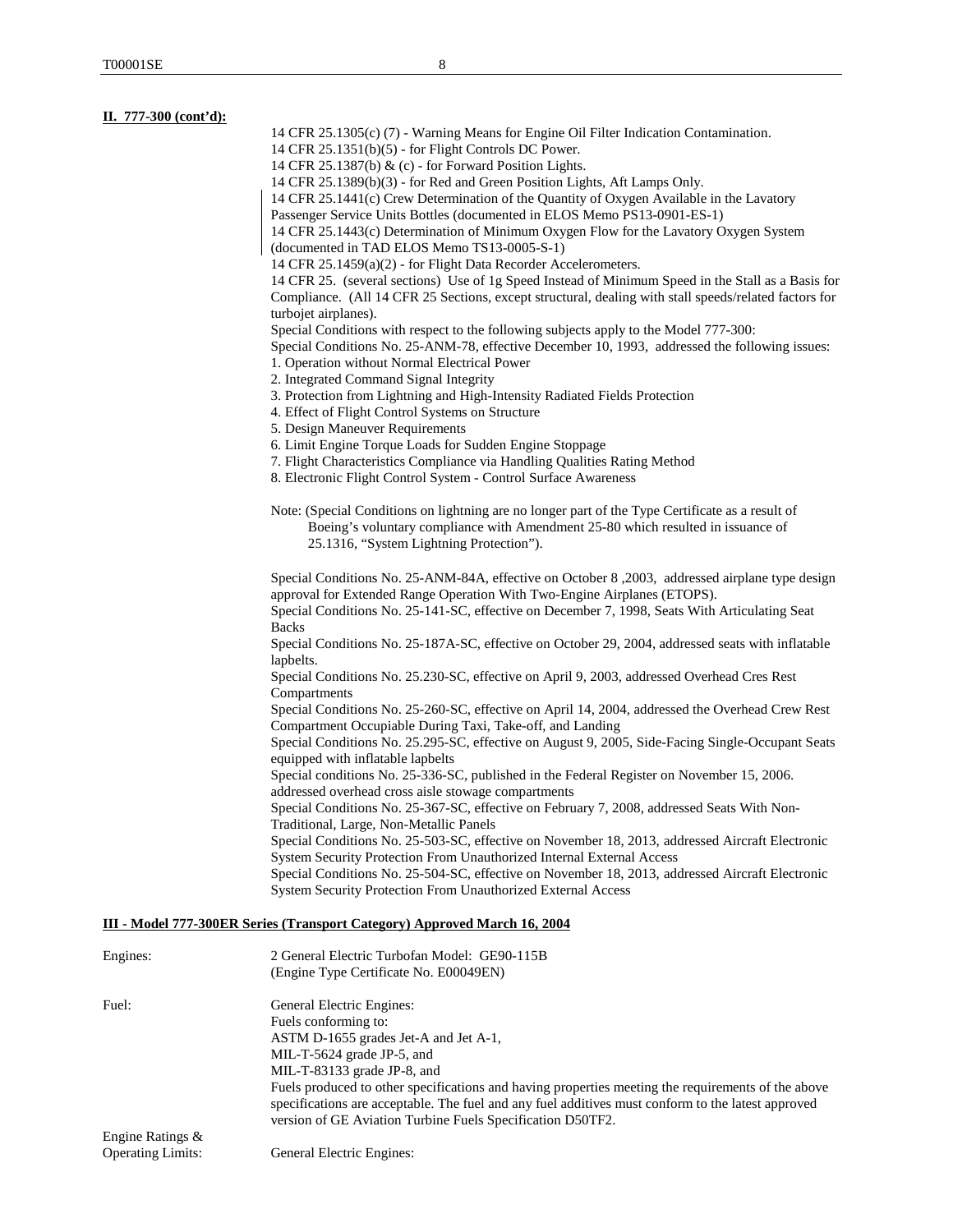| II. 777-300 (cont'd): |                                                                                                                                                                                                                                                                              |
|-----------------------|------------------------------------------------------------------------------------------------------------------------------------------------------------------------------------------------------------------------------------------------------------------------------|
|                       | 14 CFR 25.1305(c) (7) - Warning Means for Engine Oil Filter Indication Contamination.                                                                                                                                                                                        |
|                       | 14 CFR 25.1351(b)(5) - for Flight Controls DC Power.                                                                                                                                                                                                                         |
|                       | 14 CFR 25.1387(b) & $(c)$ - for Forward Position Lights.                                                                                                                                                                                                                     |
|                       | 14 CFR 25.1389(b)(3) - for Red and Green Position Lights, Aft Lamps Only.                                                                                                                                                                                                    |
|                       | 14 CFR 25.1441(c) Crew Determination of the Quantity of Oxygen Available in the Lavatory                                                                                                                                                                                     |
|                       | Passenger Service Units Bottles (documented in ELOS Memo PS13-0901-ES-1)                                                                                                                                                                                                     |
|                       | 14 CFR 25.1443(c) Determination of Minimum Oxygen Flow for the Lavatory Oxygen System<br>(documented in TAD ELOS Memo TS13-0005-S-1)                                                                                                                                         |
|                       | 14 CFR 25.1459(a)(2) - for Flight Data Recorder Accelerometers.                                                                                                                                                                                                              |
|                       | 14 CFR 25. (several sections) Use of 1g Speed Instead of Minimum Speed in the Stall as a Basis for                                                                                                                                                                           |
|                       | Compliance. (All 14 CFR 25 Sections, except structural, dealing with stall speeds/related factors for                                                                                                                                                                        |
|                       | turbojet airplanes).<br>Special Conditions with respect to the following subjects apply to the Model 777-300:                                                                                                                                                                |
|                       | Special Conditions No. 25-ANM-78, effective December 10, 1993, addressed the following issues:                                                                                                                                                                               |
|                       | 1. Operation without Normal Electrical Power                                                                                                                                                                                                                                 |
|                       | 2. Integrated Command Signal Integrity                                                                                                                                                                                                                                       |
|                       | 3. Protection from Lightning and High-Intensity Radiated Fields Protection                                                                                                                                                                                                   |
|                       | 4. Effect of Flight Control Systems on Structure                                                                                                                                                                                                                             |
|                       | 5. Design Maneuver Requirements                                                                                                                                                                                                                                              |
|                       | 6. Limit Engine Torque Loads for Sudden Engine Stoppage                                                                                                                                                                                                                      |
|                       | 7. Flight Characteristics Compliance via Handling Qualities Rating Method                                                                                                                                                                                                    |
|                       | 8. Electronic Flight Control System - Control Surface Awareness                                                                                                                                                                                                              |
|                       | Note: (Special Conditions on lightning are no longer part of the Type Certificate as a result of<br>Boeing's voluntary compliance with Amendment 25-80 which resulted in issuance of                                                                                         |
|                       | 25.1316, "System Lightning Protection").                                                                                                                                                                                                                                     |
|                       | Special Conditions No. 25-ANM-84A, effective on October 8, 2003, addressed airplane type design<br>approval for Extended Range Operation With Two-Engine Airplanes (ETOPS).<br>Special Conditions No. 25-141-SC, effective on December 7, 1998, Seats With Articulating Seat |
|                       | <b>Backs</b><br>Special Conditions No. 25-187A-SC, effective on October 29, 2004, addressed seats with inflatable                                                                                                                                                            |
|                       | lapbelts.<br>Special Conditions No. 25.230-SC, effective on April 9, 2003, addressed Overhead Cres Rest<br>Compartments                                                                                                                                                      |
|                       | Special Conditions No. 25-260-SC, effective on April 14, 2004, addressed the Overhead Crew Rest<br>Compartment Occupiable During Taxi, Take-off, and Landing                                                                                                                 |
|                       | Special Conditions No. 25.295-SC, effective on August 9, 2005, Side-Facing Single-Occupant Seats<br>equipped with inflatable lapbelts                                                                                                                                        |
|                       | Special conditions No. 25-336-SC, published in the Federal Register on November 15, 2006.<br>addressed overhead cross aisle stowage compartments                                                                                                                             |
|                       | Special Conditions No. 25-367-SC, effective on February 7, 2008, addressed Seats With Non-<br>Traditional, Large, Non-Metallic Panels                                                                                                                                        |
|                       | Special Conditions No. 25-503-SC, effective on November 18, 2013, addressed Aircraft Electronic                                                                                                                                                                              |
|                       | System Security Protection From Unauthorized Internal External Access                                                                                                                                                                                                        |
|                       | Special Conditions No. 25-504-SC, effective on November 18, 2013, addressed Aircraft Electronic                                                                                                                                                                              |
|                       | System Security Protection From Unauthorized External Access                                                                                                                                                                                                                 |
|                       | <b>III - Model 777-300ER Series (Transport Category) Approved March 16, 2004</b>                                                                                                                                                                                             |
| Engines:              | 2 General Electric Turbofan Model: GE90-115B                                                                                                                                                                                                                                 |
|                       | (Engine Type Certificate No. E00049EN)                                                                                                                                                                                                                                       |
| Fuel:                 | General Electric Engines:                                                                                                                                                                                                                                                    |
|                       | Fuels conforming to:                                                                                                                                                                                                                                                         |
|                       | ASTM D-1655 grades Jet-A and Jet A-1,                                                                                                                                                                                                                                        |
|                       | MIL-T-5624 grade JP-5, and                                                                                                                                                                                                                                                   |

MIL-T-83133 grade JP-8, and Fuels produced to other specifications and having properties meeting the requirements of the above specifications are acceptable. The fuel and any fuel additives must conform to the latest approved version of GE Aviation Turbine Fuels Specification D50TF2.

Engine Ratings & Operating Limits: General Electric Engines: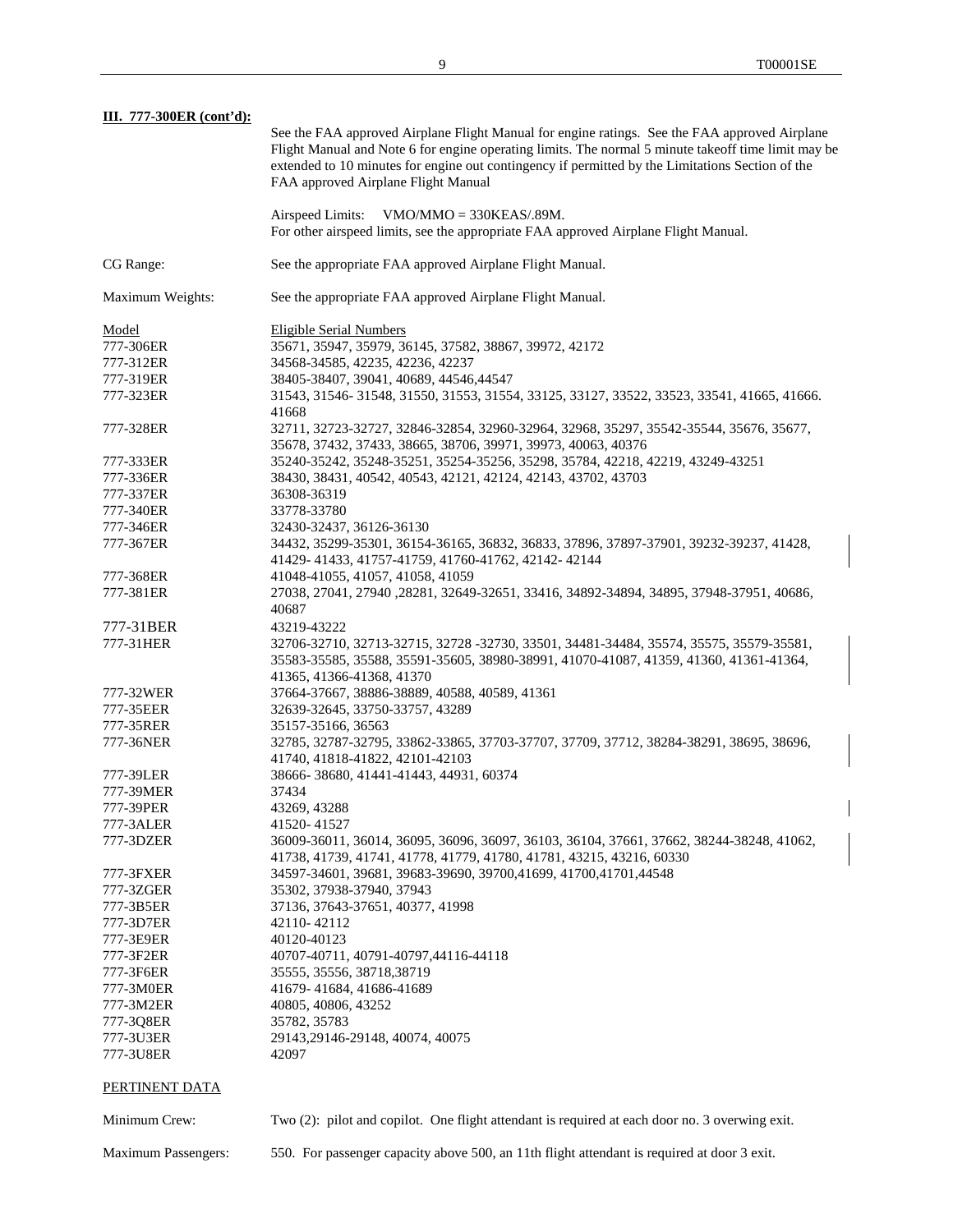| III. 777-300ER (cont'd): |                                                                                                                                                                                                                                                                                                          |
|--------------------------|----------------------------------------------------------------------------------------------------------------------------------------------------------------------------------------------------------------------------------------------------------------------------------------------------------|
|                          | See the FAA approved Airplane Flight Manual for engine ratings. See the FAA approved Airplane<br>Flight Manual and Note 6 for engine operating limits. The normal 5 minute takeoff time limit may be<br>extended to 10 minutes for engine out contingency if permitted by the Limitations Section of the |
|                          | FAA approved Airplane Flight Manual                                                                                                                                                                                                                                                                      |
|                          | Airspeed Limits:<br>$VMO/MMO = 330KEAS/0.89M$ .                                                                                                                                                                                                                                                          |
|                          | For other airspeed limits, see the appropriate FAA approved Airplane Flight Manual.                                                                                                                                                                                                                      |
| CG Range:                | See the appropriate FAA approved Airplane Flight Manual.                                                                                                                                                                                                                                                 |
| Maximum Weights:         | See the appropriate FAA approved Airplane Flight Manual.                                                                                                                                                                                                                                                 |
| Model                    | <b>Eligible Serial Numbers</b>                                                                                                                                                                                                                                                                           |
| 777-306ER                | 35671, 35947, 35979, 36145, 37582, 38867, 39972, 42172                                                                                                                                                                                                                                                   |
| 777-312ER                | 34568-34585, 42235, 42236, 42237                                                                                                                                                                                                                                                                         |
| 777-319ER                | 38405-38407, 39041, 40689, 44546, 44547                                                                                                                                                                                                                                                                  |
| 777-323ER                | 31543, 31546- 31548, 31550, 31553, 31554, 33125, 33127, 33522, 33523, 33541, 41665, 41666.<br>41668                                                                                                                                                                                                      |
| 777-328ER                | 32711, 32723-32727, 32846-32854, 32960-32964, 32968, 35297, 35542-35544, 35676, 35677,<br>35678, 37432, 37433, 38665, 38706, 39971, 39973, 40063, 40376                                                                                                                                                  |
| 777-333ER                | 35240-35242, 35248-35251, 35254-35256, 35298, 35784, 42218, 42219, 43249-43251                                                                                                                                                                                                                           |
| 777-336ER                | 38430, 38431, 40542, 40543, 42121, 42124, 42143, 43702, 43703                                                                                                                                                                                                                                            |
| 777-337ER                |                                                                                                                                                                                                                                                                                                          |
|                          | 36308-36319                                                                                                                                                                                                                                                                                              |
| 777-340ER                | 33778-33780                                                                                                                                                                                                                                                                                              |
| 777-346ER                | 32430-32437, 36126-36130                                                                                                                                                                                                                                                                                 |
| 777-367ER                | 34432, 35299-35301, 36154-36165, 36832, 36833, 37896, 37897-37901, 39232-39237, 41428,<br>41429-41433, 41757-41759, 41760-41762, 42142-42144                                                                                                                                                             |
| 777-368ER                | 41048-41055, 41057, 41058, 41059                                                                                                                                                                                                                                                                         |
| 777-381ER                | 27038, 27041, 27940, 28281, 32649-32651, 33416, 34892-34894, 34895, 37948-37951, 40686,<br>40687                                                                                                                                                                                                         |
| 777-31BER                | 43219-43222                                                                                                                                                                                                                                                                                              |
| 777-31HER                | 32706-32710, 32713-32715, 32728 -32730, 33501, 34481-34484, 35574, 35575, 35579-35581,                                                                                                                                                                                                                   |
|                          | 35583-35585, 35588, 35591-35605, 38980-38991, 41070-41087, 41359, 41360, 41361-41364,<br>41365, 41366-41368, 41370                                                                                                                                                                                       |
|                          |                                                                                                                                                                                                                                                                                                          |
| 777-32WER                | 37664-37667, 38886-38889, 40588, 40589, 41361                                                                                                                                                                                                                                                            |
| 777-35EER                | 32639-32645, 33750-33757, 43289                                                                                                                                                                                                                                                                          |
| 777-35RER                | 35157-35166, 36563                                                                                                                                                                                                                                                                                       |
| 777-36NER                | 32785, 32787-32795, 33862-33865, 37703-37707, 37709, 37712, 38284-38291, 38695, 38696,<br>41740, 41818-41822, 42101-42103                                                                                                                                                                                |
| 777-39LER                | 38666-38680, 41441-41443, 44931, 60374                                                                                                                                                                                                                                                                   |
| 777-39MER                | 37434                                                                                                                                                                                                                                                                                                    |
| 777-39PER                | 43269, 43288                                                                                                                                                                                                                                                                                             |
| 777-3ALER                | 41520-41527                                                                                                                                                                                                                                                                                              |
| 777-3DZER                | 36009-36011, 36014, 36095, 36096, 36097, 36103, 36104, 37661, 37662, 38244-38248, 41062,<br>41738, 41739, 41741, 41778, 41779, 41780, 41781, 43215, 43216, 60330                                                                                                                                         |
| 777-3FXER                | 34597-34601, 39681, 39683-39690, 39700, 41699, 41700, 41701, 44548                                                                                                                                                                                                                                       |
| 777-3ZGER                | 35302, 37938-37940, 37943                                                                                                                                                                                                                                                                                |
|                          |                                                                                                                                                                                                                                                                                                          |
| 777-3B5ER                | 37136, 37643-37651, 40377, 41998                                                                                                                                                                                                                                                                         |
| 777-3D7ER                | 42110-42112                                                                                                                                                                                                                                                                                              |
| 777-3E9ER                | 40120-40123                                                                                                                                                                                                                                                                                              |
| 777-3F2ER                | 40707-40711, 40791-40797, 44116-44118                                                                                                                                                                                                                                                                    |
| 777-3F6ER                | 35555, 35556, 38718, 38719                                                                                                                                                                                                                                                                               |
| 777-3M0ER                | 41679-41684, 41686-41689                                                                                                                                                                                                                                                                                 |
| 777-3M2ER                | 40805, 40806, 43252                                                                                                                                                                                                                                                                                      |
| 777-3Q8ER                | 35782, 35783                                                                                                                                                                                                                                                                                             |
| 777-3U3ER                | 29143,29146-29148, 40074, 40075                                                                                                                                                                                                                                                                          |
| 777-3U8ER                | 42097                                                                                                                                                                                                                                                                                                    |
| PERTINENT DATA           |                                                                                                                                                                                                                                                                                                          |

Minimum Crew: Two (2): pilot and copilot. One flight attendant is required at each door no. 3 overwing exit.

Maximum Passengers: 550. For passenger capacity above 500, an 11th flight attendant is required at door 3 exit.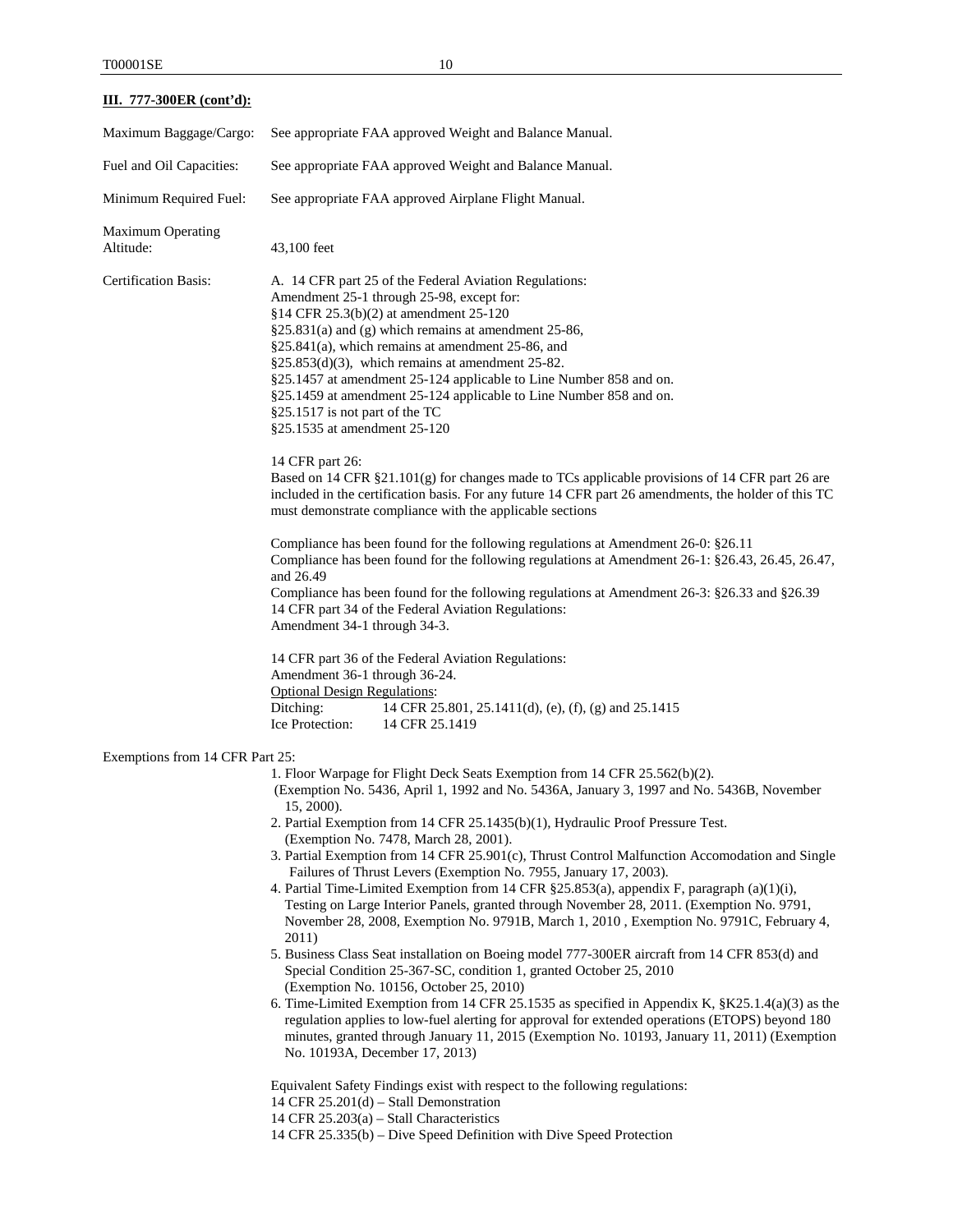## **III. 777-300ER (cont'd):**

| Maximum Baggage/Cargo:                | See appropriate FAA approved Weight and Balance Manual.                                                                                                                                                                                                                                                                                                                                                                                                                                                                                                                                                                                                                                                                                                                                                                                                                                                                                                                                                                                                                                                                                                                                                                                                                                                                                                 |
|---------------------------------------|---------------------------------------------------------------------------------------------------------------------------------------------------------------------------------------------------------------------------------------------------------------------------------------------------------------------------------------------------------------------------------------------------------------------------------------------------------------------------------------------------------------------------------------------------------------------------------------------------------------------------------------------------------------------------------------------------------------------------------------------------------------------------------------------------------------------------------------------------------------------------------------------------------------------------------------------------------------------------------------------------------------------------------------------------------------------------------------------------------------------------------------------------------------------------------------------------------------------------------------------------------------------------------------------------------------------------------------------------------|
| Fuel and Oil Capacities:              | See appropriate FAA approved Weight and Balance Manual.                                                                                                                                                                                                                                                                                                                                                                                                                                                                                                                                                                                                                                                                                                                                                                                                                                                                                                                                                                                                                                                                                                                                                                                                                                                                                                 |
| Minimum Required Fuel:                | See appropriate FAA approved Airplane Flight Manual.                                                                                                                                                                                                                                                                                                                                                                                                                                                                                                                                                                                                                                                                                                                                                                                                                                                                                                                                                                                                                                                                                                                                                                                                                                                                                                    |
| <b>Maximum Operating</b><br>Altitude: | 43,100 feet                                                                                                                                                                                                                                                                                                                                                                                                                                                                                                                                                                                                                                                                                                                                                                                                                                                                                                                                                                                                                                                                                                                                                                                                                                                                                                                                             |
| <b>Certification Basis:</b>           | A. 14 CFR part 25 of the Federal Aviation Regulations:<br>Amendment 25-1 through 25-98, except for:<br>§14 CFR 25.3(b)(2) at amendment 25-120<br>§25.831(a) and (g) which remains at amendment 25-86,<br>$§25.841(a)$ , which remains at amendment 25-86, and<br>$§25.853(d)(3)$ , which remains at amendment 25-82.<br>§25.1457 at amendment 25-124 applicable to Line Number 858 and on.<br>§25.1459 at amendment 25-124 applicable to Line Number 858 and on.<br>§25.1517 is not part of the TC<br>§25.1535 at amendment 25-120                                                                                                                                                                                                                                                                                                                                                                                                                                                                                                                                                                                                                                                                                                                                                                                                                      |
|                                       | 14 CFR part 26:<br>Based on 14 CFR §21.101(g) for changes made to TCs applicable provisions of 14 CFR part 26 are<br>included in the certification basis. For any future 14 CFR part 26 amendments, the holder of this TC<br>must demonstrate compliance with the applicable sections                                                                                                                                                                                                                                                                                                                                                                                                                                                                                                                                                                                                                                                                                                                                                                                                                                                                                                                                                                                                                                                                   |
|                                       | Compliance has been found for the following regulations at Amendment 26-0: §26.11<br>Compliance has been found for the following regulations at Amendment 26-1: §26.43, 26.45, 26.47,<br>and 26.49<br>Compliance has been found for the following regulations at Amendment 26-3: §26.33 and §26.39<br>14 CFR part 34 of the Federal Aviation Regulations:<br>Amendment 34-1 through 34-3.                                                                                                                                                                                                                                                                                                                                                                                                                                                                                                                                                                                                                                                                                                                                                                                                                                                                                                                                                               |
|                                       | 14 CFR part 36 of the Federal Aviation Regulations:<br>Amendment 36-1 through 36-24.<br><b>Optional Design Regulations:</b><br>Ditching:<br>14 CFR 25.801, 25.1411(d), (e), (f), (g) and 25.1415<br>Ice Protection:<br>14 CFR 25.1419                                                                                                                                                                                                                                                                                                                                                                                                                                                                                                                                                                                                                                                                                                                                                                                                                                                                                                                                                                                                                                                                                                                   |
| Exemptions from 14 CFR Part 25:       |                                                                                                                                                                                                                                                                                                                                                                                                                                                                                                                                                                                                                                                                                                                                                                                                                                                                                                                                                                                                                                                                                                                                                                                                                                                                                                                                                         |
|                                       | 1. Floor Warpage for Flight Deck Seats Exemption from 14 CFR 25.562(b)(2).<br>(Exemption No. 5436, April 1, 1992 and No. 5436A, January 3, 1997 and No. 5436B, November<br>$15, 2000$ ).<br>2. Partial Exemption from 14 CFR 25.1435(b)(1), Hydraulic Proof Pressure Test.<br>(Exemption No. 7478, March 28, 2001).<br>3. Partial Exemption from 14 CFR 25.901(c), Thrust Control Malfunction Accomodation and Single<br>Failures of Thrust Levers (Exemption No. 7955, January 17, 2003).<br>4. Partial Time-Limited Exemption from 14 CFR §25.853(a), appendix F, paragraph (a)(1)(i),<br>Testing on Large Interior Panels, granted through November 28, 2011. (Exemption No. 9791,<br>November 28, 2008, Exemption No. 9791B, March 1, 2010, Exemption No. 9791C, February 4,<br>2011)<br>5. Business Class Seat installation on Boeing model 777-300ER aircraft from 14 CFR 853(d) and<br>Special Condition 25-367-SC, condition 1, granted October 25, 2010<br>(Exemption No. 10156, October 25, 2010)<br>6. Time-Limited Exemption from 14 CFR 25.1535 as specified in Appendix K, $\S$ K25.1.4(a)(3) as the<br>regulation applies to low-fuel alerting for approval for extended operations (ETOPS) beyond 180<br>minutes, granted through January 11, 2015 (Exemption No. 10193, January 11, 2011) (Exemption<br>No. 10193A, December 17, 2013) |

Equivalent Safety Findings exist with respect to the following regulations:

14 CFR 25.201(d) – Stall Demonstration

14 CFR 25.203(a) – Stall Characteristics

14 CFR 25.335(b) – Dive Speed Definition with Dive Speed Protection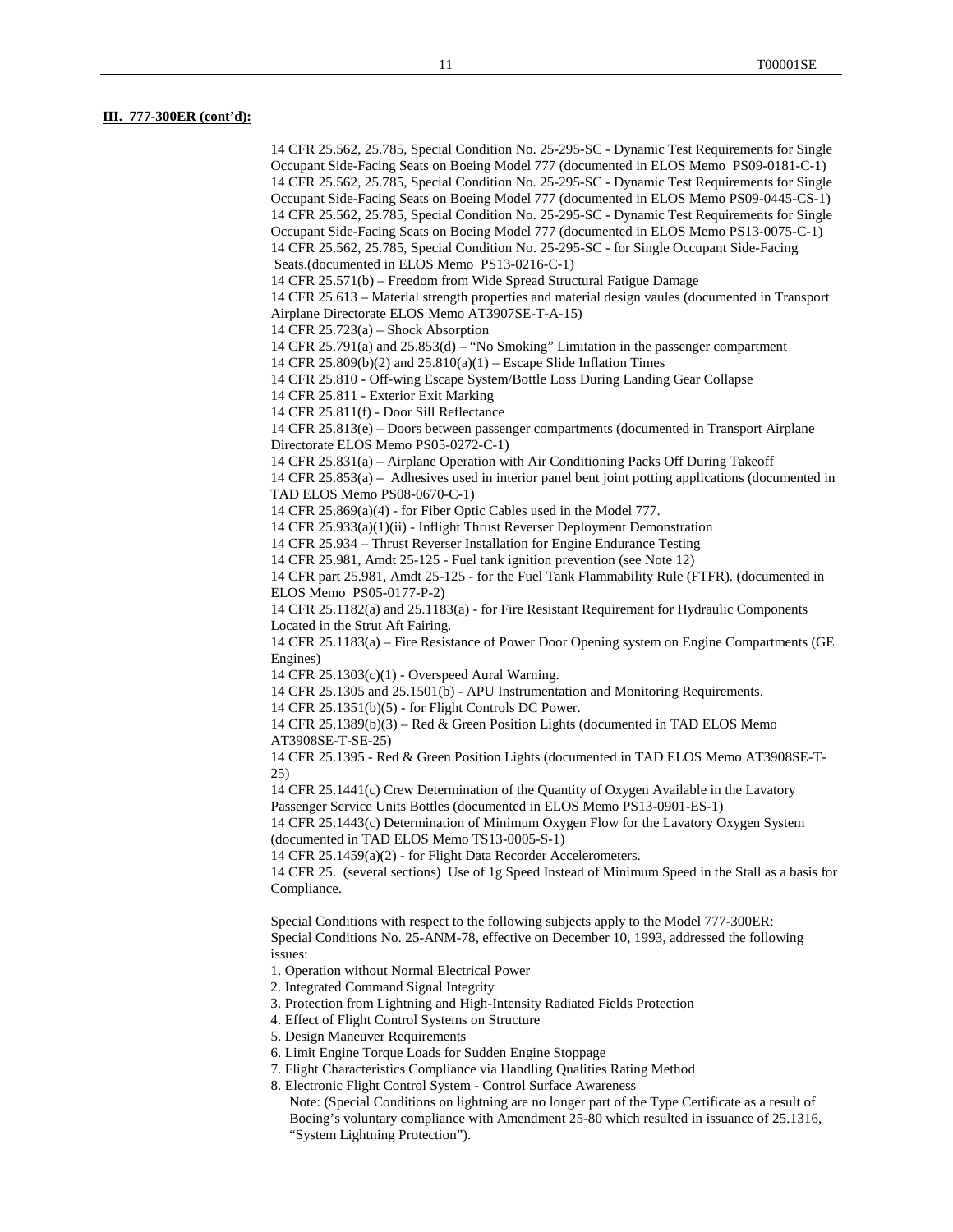#### **III. 777-300ER (cont'd):**

14 CFR 25.562, 25.785, Special Condition No. 25-295-SC - Dynamic Test Requirements for Single Occupant Side-Facing Seats on Boeing Model 777 (documented in ELOS Memo PS09-0181-C-1) 14 CFR 25.562, 25.785, Special Condition No. 25-295-SC - Dynamic Test Requirements for Single Occupant Side-Facing Seats on Boeing Model 777 (documented in ELOS Memo PS09-0445-CS-1) 14 CFR 25.562, 25.785, Special Condition No. 25-295-SC - Dynamic Test Requirements for Single Occupant Side-Facing Seats on Boeing Model 777 (documented in ELOS Memo PS13-0075-C-1) 14 CFR 25.562, 25.785, Special Condition No. 25-295-SC - for Single Occupant Side-Facing Seats.(documented in ELOS Memo PS13-0216-C-1) 14 CFR 25.571(b) – Freedom from Wide Spread Structural Fatigue Damage 14 CFR 25.613 – Material strength properties and material design vaules (documented in Transport Airplane Directorate ELOS Memo AT3907SE-T-A-15) 14 CFR 25.723(a) – Shock Absorption 14 CFR 25.791(a) and 25.853(d) – "No Smoking" Limitation in the passenger compartment 14 CFR 25.809(b)(2) and 25.810(a)(1) – Escape Slide Inflation Times 14 CFR 25.810 - Off-wing Escape System/Bottle Loss During Landing Gear Collapse 14 CFR 25.811 - Exterior Exit Marking 14 CFR 25.811(f) - Door Sill Reflectance 14 CFR 25.813(e) – Doors between passenger compartments (documented in Transport Airplane Directorate ELOS Memo PS05-0272-C-1) 14 CFR 25.831(a) – Airplane Operation with Air Conditioning Packs Off During Takeoff 14 CFR 25.853(a) – Adhesives used in interior panel bent joint potting applications (documented in TAD ELOS Memo PS08-0670-C-1) 14 CFR 25.869(a)(4) - for Fiber Optic Cables used in the Model 777. 14 CFR 25.933(a)(1)(ii) - Inflight Thrust Reverser Deployment Demonstration 14 CFR 25.934 – Thrust Reverser Installation for Engine Endurance Testing 14 CFR 25.981, Amdt 25-125 - Fuel tank ignition prevention (see Note 12) 14 CFR part 25.981, Amdt 25-125 - for the Fuel Tank Flammability Rule (FTFR). (documented in ELOS Memo PS05-0177-P-2) 14 CFR 25.1182(a) and 25.1183(a) - for Fire Resistant Requirement for Hydraulic Components Located in the Strut Aft Fairing. 14 CFR 25.1183(a) – Fire Resistance of Power Door Opening system on Engine Compartments (GE Engines) 14 CFR 25.1303(c)(1) - Overspeed Aural Warning. 14 CFR 25.1305 and 25.1501(b) - APU Instrumentation and Monitoring Requirements. 14 CFR 25.1351(b)(5) - for Flight Controls DC Power. 14 CFR 25.1389(b)(3) – Red & Green Position Lights (documented in TAD ELOS Memo AT3908SE-T-SE-25) 14 CFR 25.1395 - Red & Green Position Lights (documented in TAD ELOS Memo AT3908SE-T-25) 14 CFR 25.1441(c) Crew Determination of the Quantity of Oxygen Available in the Lavatory Passenger Service Units Bottles (documented in ELOS Memo PS13-0901-ES-1) 14 CFR 25.1443(c) Determination of Minimum Oxygen Flow for the Lavatory Oxygen System (documented in TAD ELOS Memo TS13-0005-S-1) 14 CFR 25.1459(a)(2) - for Flight Data Recorder Accelerometers. 14 CFR 25. (several sections) Use of 1g Speed Instead of Minimum Speed in the Stall as a basis for Compliance. Special Conditions with respect to the following subjects apply to the Model 777-300ER: Special Conditions No. 25-ANM-78, effective on December 10, 1993, addressed the following issues: 1. Operation without Normal Electrical Power 2. Integrated Command Signal Integrity

3. Protection from Lightning and High-Intensity Radiated Fields Protection

4. Effect of Flight Control Systems on Structure

5. Design Maneuver Requirements

6. Limit Engine Torque Loads for Sudden Engine Stoppage

7. Flight Characteristics Compliance via Handling Qualities Rating Method

8. Electronic Flight Control System - Control Surface Awareness

Note: (Special Conditions on lightning are no longer part of the Type Certificate as a result of Boeing's voluntary compliance with Amendment 25-80 which resulted in issuance of 25.1316, "System Lightning Protection").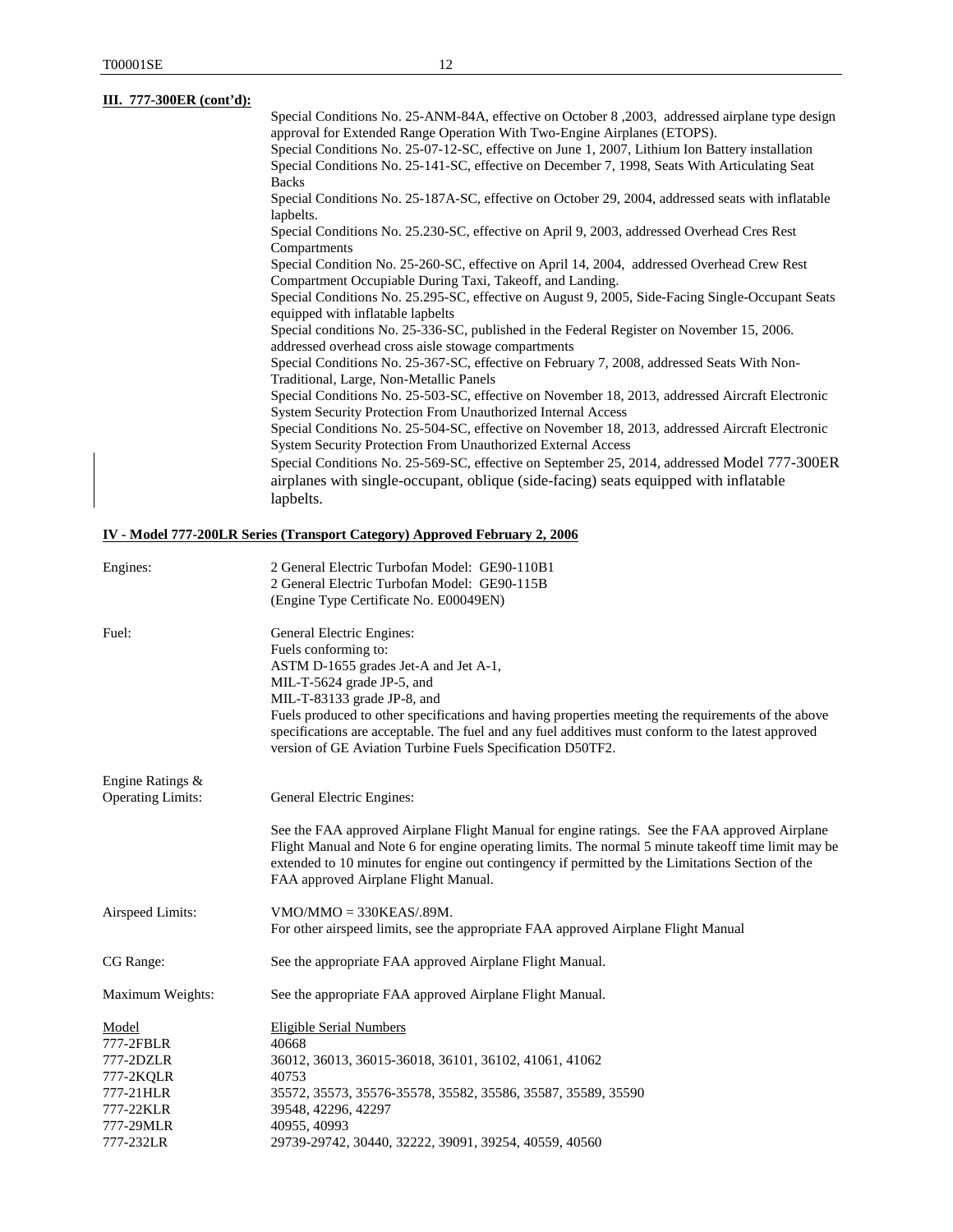| III. 777-300ER (cont'd): |                                                                                                                                                  |
|--------------------------|--------------------------------------------------------------------------------------------------------------------------------------------------|
|                          | Special Conditions No. 25-ANM-84A, effective on October 8, 2003, addressed airplane type design                                                  |
|                          | approval for Extended Range Operation With Two-Engine Airplanes (ETOPS).                                                                         |
|                          | Special Conditions No. 25-07-12-SC, effective on June 1, 2007, Lithium Ion Battery installation                                                  |
|                          | Special Conditions No. 25-141-SC, effective on December 7, 1998, Seats With Articulating Seat                                                    |
|                          | <b>Backs</b>                                                                                                                                     |
|                          | Special Conditions No. 25-187A-SC, effective on October 29, 2004, addressed seats with inflatable<br>lapbelts.                                   |
|                          | Special Conditions No. 25.230-SC, effective on April 9, 2003, addressed Overhead Cres Rest<br>Compartments                                       |
|                          | Special Condition No. 25-260-SC, effective on April 14, 2004, addressed Overhead Crew Rest                                                       |
|                          | Compartment Occupiable During Taxi, Takeoff, and Landing.                                                                                        |
|                          | Special Conditions No. 25.295-SC, effective on August 9, 2005, Side-Facing Single-Occupant Seats<br>equipped with inflatable lapbelts            |
|                          | Special conditions No. 25-336-SC, published in the Federal Register on November 15, 2006.<br>addressed overhead cross aisle stowage compartments |
|                          | Special Conditions No. 25-367-SC, effective on February 7, 2008, addressed Seats With Non-                                                       |
|                          | Traditional, Large, Non-Metallic Panels                                                                                                          |
|                          | Special Conditions No. 25-503-SC, effective on November 18, 2013, addressed Aircraft Electronic                                                  |
|                          | <b>System Security Protection From Unauthorized Internal Access</b>                                                                              |
|                          | Special Conditions No. 25-504-SC, effective on November 18, 2013, addressed Aircraft Electronic                                                  |
|                          | <b>System Security Protection From Unauthorized External Access</b>                                                                              |
|                          | Special Conditions No. 25-569-SC, effective on September 25, 2014, addressed Model 777-300ER                                                     |
|                          | airplanes with single-occupant, oblique (side-facing) seats equipped with inflatable                                                             |
|                          | lapbelts.                                                                                                                                        |
|                          |                                                                                                                                                  |

# **IV - Model 777-200LR Series (Transport Category) Approved February 2, 2006**

| Engines:                 | 2 General Electric Turbofan Model: GE90-110B1                                                                                                                                                                                                                                                                                                    |
|--------------------------|--------------------------------------------------------------------------------------------------------------------------------------------------------------------------------------------------------------------------------------------------------------------------------------------------------------------------------------------------|
|                          | 2 General Electric Turbofan Model: GE90-115B                                                                                                                                                                                                                                                                                                     |
|                          | (Engine Type Certificate No. E00049EN)                                                                                                                                                                                                                                                                                                           |
| Fuel:                    | General Electric Engines:                                                                                                                                                                                                                                                                                                                        |
|                          | Fuels conforming to:                                                                                                                                                                                                                                                                                                                             |
|                          | ASTM D-1655 grades Jet-A and Jet A-1,                                                                                                                                                                                                                                                                                                            |
|                          | MIL-T-5624 grade JP-5, and                                                                                                                                                                                                                                                                                                                       |
|                          | MIL-T-83133 grade JP-8, and                                                                                                                                                                                                                                                                                                                      |
|                          | Fuels produced to other specifications and having properties meeting the requirements of the above<br>specifications are acceptable. The fuel and any fuel additives must conform to the latest approved<br>version of GE Aviation Turbine Fuels Specification D50TF2.                                                                           |
| Engine Ratings &         |                                                                                                                                                                                                                                                                                                                                                  |
| <b>Operating Limits:</b> | General Electric Engines:                                                                                                                                                                                                                                                                                                                        |
|                          | See the FAA approved Airplane Flight Manual for engine ratings. See the FAA approved Airplane<br>Flight Manual and Note 6 for engine operating limits. The normal 5 minute takeoff time limit may be<br>extended to 10 minutes for engine out contingency if permitted by the Limitations Section of the<br>FAA approved Airplane Flight Manual. |
| Airspeed Limits:         | $VMO/MMO = 330KEAS/39M.$                                                                                                                                                                                                                                                                                                                         |
|                          | For other airspeed limits, see the appropriate FAA approved Airplane Flight Manual                                                                                                                                                                                                                                                               |
| CG Range:                | See the appropriate FAA approved Airplane Flight Manual.                                                                                                                                                                                                                                                                                         |
| Maximum Weights:         | See the appropriate FAA approved Airplane Flight Manual.                                                                                                                                                                                                                                                                                         |
| Model                    | Eligible Serial Numbers                                                                                                                                                                                                                                                                                                                          |
| 777-2FBLR                | 40668                                                                                                                                                                                                                                                                                                                                            |
| 777-2DZLR                | 36012, 36013, 36015-36018, 36101, 36102, 41061, 41062                                                                                                                                                                                                                                                                                            |
| 777-2KQLR                | 40753                                                                                                                                                                                                                                                                                                                                            |
| 777-21HLR                | 35572, 35573, 35576-35578, 35582, 35586, 35587, 35589, 35590                                                                                                                                                                                                                                                                                     |
| 777-22KLR<br>777-29MLR   | 39548, 42296, 42297                                                                                                                                                                                                                                                                                                                              |
| 777-232LR                | 40955, 40993<br>29739-29742, 30440, 32222, 39091, 39254, 40559, 40560                                                                                                                                                                                                                                                                            |
|                          |                                                                                                                                                                                                                                                                                                                                                  |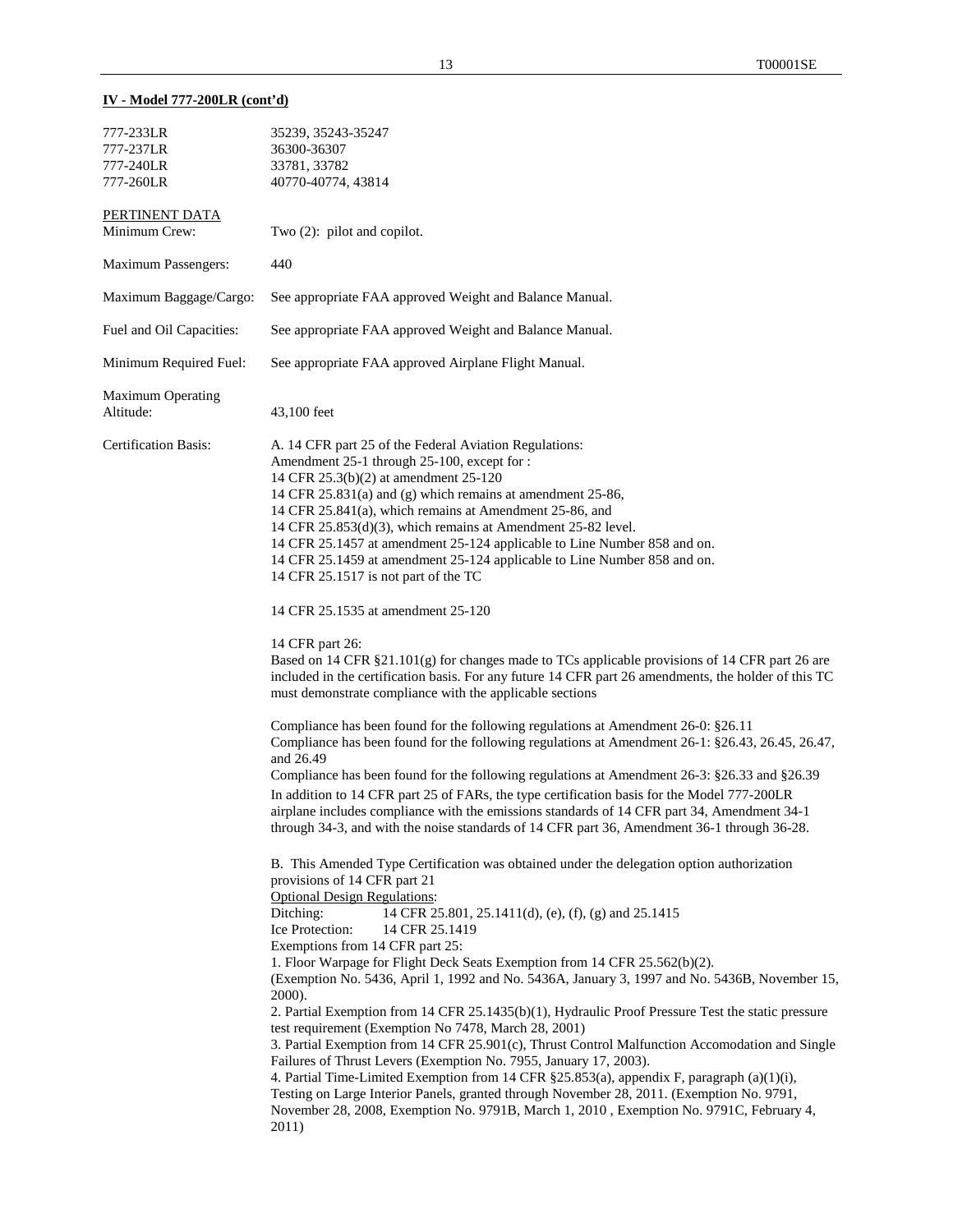## **IV - Model 777-200LR (cont'd)**

| 777-233LR<br>777-237LR<br>777-240LR   | 35239, 35243-35247<br>36300-36307<br>33781, 33782                                                                                                                                                                                                                                                                                                                                                                                                                                                                                                                                                                                                                                                                                                                                                                                                                                                                                                                                                                                                                                                                                                                                                                                                                                                                                                                                                                                                                                                                                                                                                                                                                                                                                            |
|---------------------------------------|----------------------------------------------------------------------------------------------------------------------------------------------------------------------------------------------------------------------------------------------------------------------------------------------------------------------------------------------------------------------------------------------------------------------------------------------------------------------------------------------------------------------------------------------------------------------------------------------------------------------------------------------------------------------------------------------------------------------------------------------------------------------------------------------------------------------------------------------------------------------------------------------------------------------------------------------------------------------------------------------------------------------------------------------------------------------------------------------------------------------------------------------------------------------------------------------------------------------------------------------------------------------------------------------------------------------------------------------------------------------------------------------------------------------------------------------------------------------------------------------------------------------------------------------------------------------------------------------------------------------------------------------------------------------------------------------------------------------------------------------|
| 777-260LR                             | 40770-40774, 43814                                                                                                                                                                                                                                                                                                                                                                                                                                                                                                                                                                                                                                                                                                                                                                                                                                                                                                                                                                                                                                                                                                                                                                                                                                                                                                                                                                                                                                                                                                                                                                                                                                                                                                                           |
| PERTINENT DATA<br>Minimum Crew:       | Two $(2)$ : pilot and copilot.                                                                                                                                                                                                                                                                                                                                                                                                                                                                                                                                                                                                                                                                                                                                                                                                                                                                                                                                                                                                                                                                                                                                                                                                                                                                                                                                                                                                                                                                                                                                                                                                                                                                                                               |
| <b>Maximum Passengers:</b>            | 440                                                                                                                                                                                                                                                                                                                                                                                                                                                                                                                                                                                                                                                                                                                                                                                                                                                                                                                                                                                                                                                                                                                                                                                                                                                                                                                                                                                                                                                                                                                                                                                                                                                                                                                                          |
| Maximum Baggage/Cargo:                | See appropriate FAA approved Weight and Balance Manual.                                                                                                                                                                                                                                                                                                                                                                                                                                                                                                                                                                                                                                                                                                                                                                                                                                                                                                                                                                                                                                                                                                                                                                                                                                                                                                                                                                                                                                                                                                                                                                                                                                                                                      |
| Fuel and Oil Capacities:              | See appropriate FAA approved Weight and Balance Manual.                                                                                                                                                                                                                                                                                                                                                                                                                                                                                                                                                                                                                                                                                                                                                                                                                                                                                                                                                                                                                                                                                                                                                                                                                                                                                                                                                                                                                                                                                                                                                                                                                                                                                      |
| Minimum Required Fuel:                | See appropriate FAA approved Airplane Flight Manual.                                                                                                                                                                                                                                                                                                                                                                                                                                                                                                                                                                                                                                                                                                                                                                                                                                                                                                                                                                                                                                                                                                                                                                                                                                                                                                                                                                                                                                                                                                                                                                                                                                                                                         |
| <b>Maximum Operating</b><br>Altitude: | 43,100 feet                                                                                                                                                                                                                                                                                                                                                                                                                                                                                                                                                                                                                                                                                                                                                                                                                                                                                                                                                                                                                                                                                                                                                                                                                                                                                                                                                                                                                                                                                                                                                                                                                                                                                                                                  |
| <b>Certification Basis:</b>           | A. 14 CFR part 25 of the Federal Aviation Regulations:<br>Amendment 25-1 through 25-100, except for :<br>14 CFR 25.3(b)(2) at amendment 25-120<br>14 CFR 25.831(a) and (g) which remains at amendment 25-86,<br>14 CFR 25.841(a), which remains at Amendment 25-86, and<br>14 CFR $25.853(d)(3)$ , which remains at Amendment 25-82 level.<br>14 CFR 25.1457 at amendment 25-124 applicable to Line Number 858 and on.<br>14 CFR 25.1459 at amendment 25-124 applicable to Line Number 858 and on.<br>14 CFR 25.1517 is not part of the TC                                                                                                                                                                                                                                                                                                                                                                                                                                                                                                                                                                                                                                                                                                                                                                                                                                                                                                                                                                                                                                                                                                                                                                                                   |
|                                       | 14 CFR 25.1535 at amendment 25-120                                                                                                                                                                                                                                                                                                                                                                                                                                                                                                                                                                                                                                                                                                                                                                                                                                                                                                                                                                                                                                                                                                                                                                                                                                                                                                                                                                                                                                                                                                                                                                                                                                                                                                           |
|                                       | 14 CFR part 26:<br>Based on 14 CFR §21.101(g) for changes made to TCs applicable provisions of 14 CFR part 26 are<br>included in the certification basis. For any future 14 CFR part 26 amendments, the holder of this TC<br>must demonstrate compliance with the applicable sections                                                                                                                                                                                                                                                                                                                                                                                                                                                                                                                                                                                                                                                                                                                                                                                                                                                                                                                                                                                                                                                                                                                                                                                                                                                                                                                                                                                                                                                        |
|                                       | Compliance has been found for the following regulations at Amendment 26-0: §26.11<br>Compliance has been found for the following regulations at Amendment 26-1: §26.43, 26.45, 26.47,<br>and 26.49<br>Compliance has been found for the following regulations at Amendment 26-3: §26.33 and §26.39<br>In addition to 14 CFR part 25 of FARs, the type certification basis for the Model 777-200LR<br>airplane includes compliance with the emissions standards of 14 CFR part 34, Amendment 34-1<br>through 34-3, and with the noise standards of 14 CFR part 36, Amendment 36-1 through 36-28.<br>B. This Amended Type Certification was obtained under the delegation option authorization<br>provisions of 14 CFR part 21<br><b>Optional Design Regulations:</b><br>Ditching:<br>14 CFR 25.801, 25.1411(d), (e), (f), (g) and 25.1415<br>Ice Protection:<br>14 CFR 25.1419<br>Exemptions from 14 CFR part 25:<br>1. Floor Warpage for Flight Deck Seats Exemption from 14 CFR 25.562(b)(2).<br>(Exemption No. 5436, April 1, 1992 and No. 5436A, January 3, 1997 and No. 5436B, November 15,<br>2000).<br>2. Partial Exemption from 14 CFR 25.1435(b)(1), Hydraulic Proof Pressure Test the static pressure<br>test requirement (Exemption No 7478, March 28, 2001)<br>3. Partial Exemption from 14 CFR 25.901(c), Thrust Control Malfunction Accomodation and Single<br>Failures of Thrust Levers (Exemption No. 7955, January 17, 2003).<br>4. Partial Time-Limited Exemption from 14 CFR §25.853(a), appendix F, paragraph (a)(1)(i),<br>Testing on Large Interior Panels, granted through November 28, 2011. (Exemption No. 9791,<br>November 28, 2008, Exemption No. 9791B, March 1, 2010, Exemption No. 9791C, February 4,<br>2011) |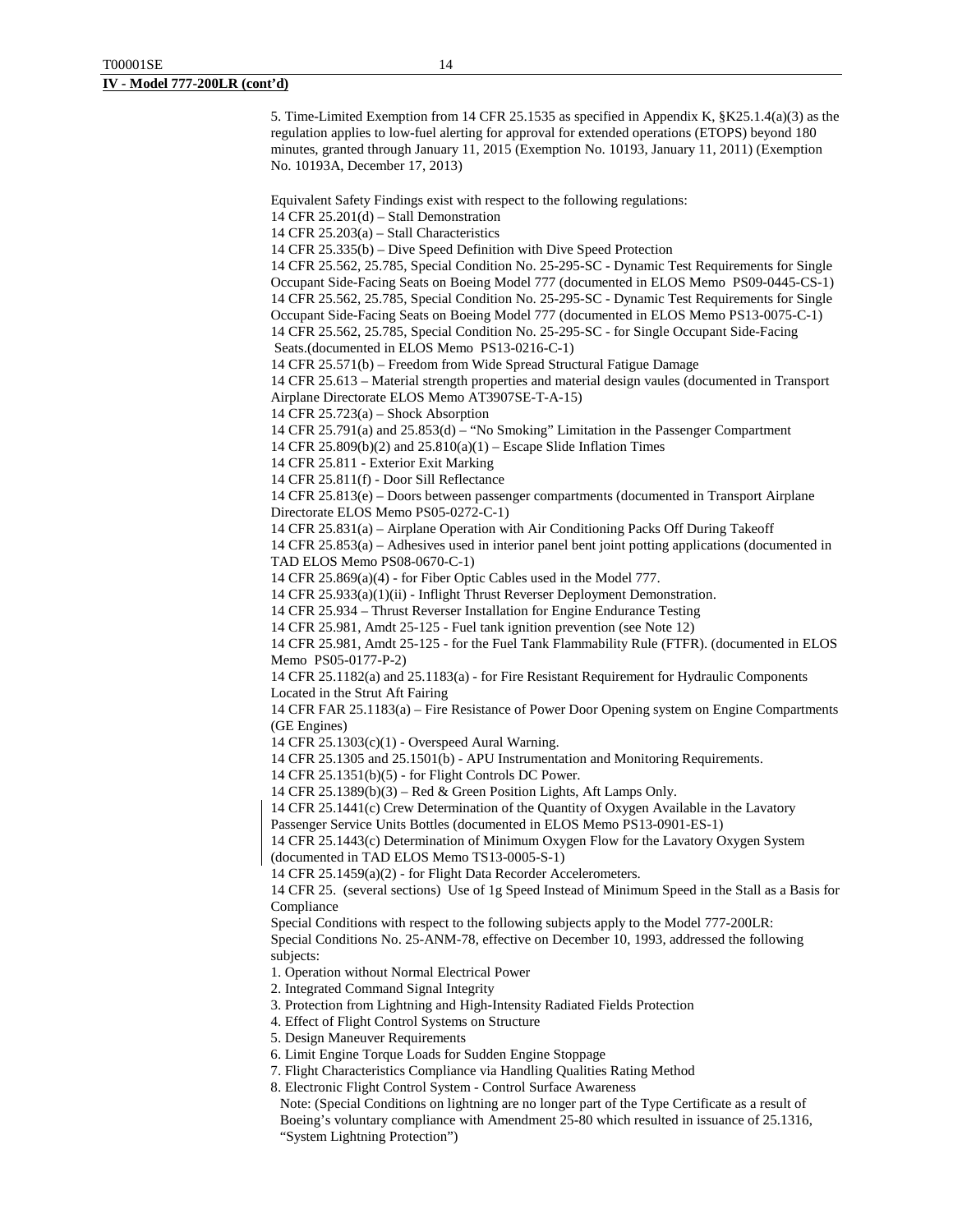5. Time-Limited Exemption from 14 CFR 25.1535 as specified in Appendix K, §K25.1.4(a)(3) as the regulation applies to low-fuel alerting for approval for extended operations (ETOPS) beyond 180 minutes, granted through January 11, 2015 (Exemption No. 10193, January 11, 2011) (Exemption No. 10193A, December 17, 2013)

Equivalent Safety Findings exist with respect to the following regulations:

14 CFR 25.201(d) – Stall Demonstration

14 CFR 25.203(a) – Stall Characteristics

14 CFR 25.335(b) – Dive Speed Definition with Dive Speed Protection

14 CFR 25.562, 25.785, Special Condition No. 25-295-SC - Dynamic Test Requirements for Single Occupant Side-Facing Seats on Boeing Model 777 (documented in ELOS Memo PS09-0445-CS-1) 14 CFR 25.562, 25.785, Special Condition No. 25-295-SC - Dynamic Test Requirements for Single Occupant Side-Facing Seats on Boeing Model 777 (documented in ELOS Memo PS13-0075-C-1) 14 CFR 25.562, 25.785, Special Condition No. 25-295-SC - for Single Occupant Side-Facing Seats.(documented in ELOS Memo PS13-0216-C-1)

14 CFR 25.571(b) – Freedom from Wide Spread Structural Fatigue Damage

14 CFR 25.613 – Material strength properties and material design vaules (documented in Transport Airplane Directorate ELOS Memo AT3907SE-T-A-15)

14 CFR 25.723(a) – Shock Absorption

14 CFR 25.791(a) and 25.853(d) – "No Smoking" Limitation in the Passenger Compartment

14 CFR 25.809(b)(2) and 25.810(a)(1) – Escape Slide Inflation Times

14 CFR 25.811 - Exterior Exit Marking

14 CFR 25.811(f) - Door Sill Reflectance

14 CFR 25.813(e) – Doors between passenger compartments (documented in Transport Airplane Directorate ELOS Memo PS05-0272-C-1)

14 CFR 25.831(a) – Airplane Operation with Air Conditioning Packs Off During Takeoff

14 CFR 25.853(a) – Adhesives used in interior panel bent joint potting applications (documented in TAD ELOS Memo PS08-0670-C-1)

14 CFR 25.869(a)(4) - for Fiber Optic Cables used in the Model 777.

14 CFR 25.933(a)(1)(ii) - Inflight Thrust Reverser Deployment Demonstration.

14 CFR 25.934 – Thrust Reverser Installation for Engine Endurance Testing

14 CFR 25.981, Amdt 25-125 - Fuel tank ignition prevention (see Note 12)

14 CFR 25.981, Amdt 25-125 - for the Fuel Tank Flammability Rule (FTFR). (documented in ELOS Memo PS05-0177-P-2)

14 CFR 25.1182(a) and 25.1183(a) - for Fire Resistant Requirement for Hydraulic Components Located in the Strut Aft Fairing

14 CFR FAR 25.1183(a) – Fire Resistance of Power Door Opening system on Engine Compartments (GE Engines)

14 CFR 25.1303(c)(1) - Overspeed Aural Warning.

14 CFR 25.1305 and 25.1501(b) - APU Instrumentation and Monitoring Requirements.

14 CFR 25.1351(b)(5) - for Flight Controls DC Power.

14 CFR 25.1389(b)(3) – Red & Green Position Lights, Aft Lamps Only.

14 CFR 25.1441(c) Crew Determination of the Quantity of Oxygen Available in the Lavatory

Passenger Service Units Bottles (documented in ELOS Memo PS13-0901-ES-1)

14 CFR 25.1443(c) Determination of Minimum Oxygen Flow for the Lavatory Oxygen System (documented in TAD ELOS Memo TS13-0005-S-1)

14 CFR 25.1459(a)(2) - for Flight Data Recorder Accelerometers.

14 CFR 25. (several sections) Use of 1g Speed Instead of Minimum Speed in the Stall as a Basis for **Compliance** 

Special Conditions with respect to the following subjects apply to the Model 777-200LR:

Special Conditions No. 25-ANM-78, effective on December 10, 1993, addressed the following subjects:

1. Operation without Normal Electrical Power

2. Integrated Command Signal Integrity

3. Protection from Lightning and High-Intensity Radiated Fields Protection

4. Effect of Flight Control Systems on Structure

5. Design Maneuver Requirements

6. Limit Engine Torque Loads for Sudden Engine Stoppage

7. Flight Characteristics Compliance via Handling Qualities Rating Method

8. Electronic Flight Control System - Control Surface Awareness

Note: (Special Conditions on lightning are no longer part of the Type Certificate as a result of Boeing's voluntary compliance with Amendment 25-80 which resulted in issuance of 25.1316, "System Lightning Protection")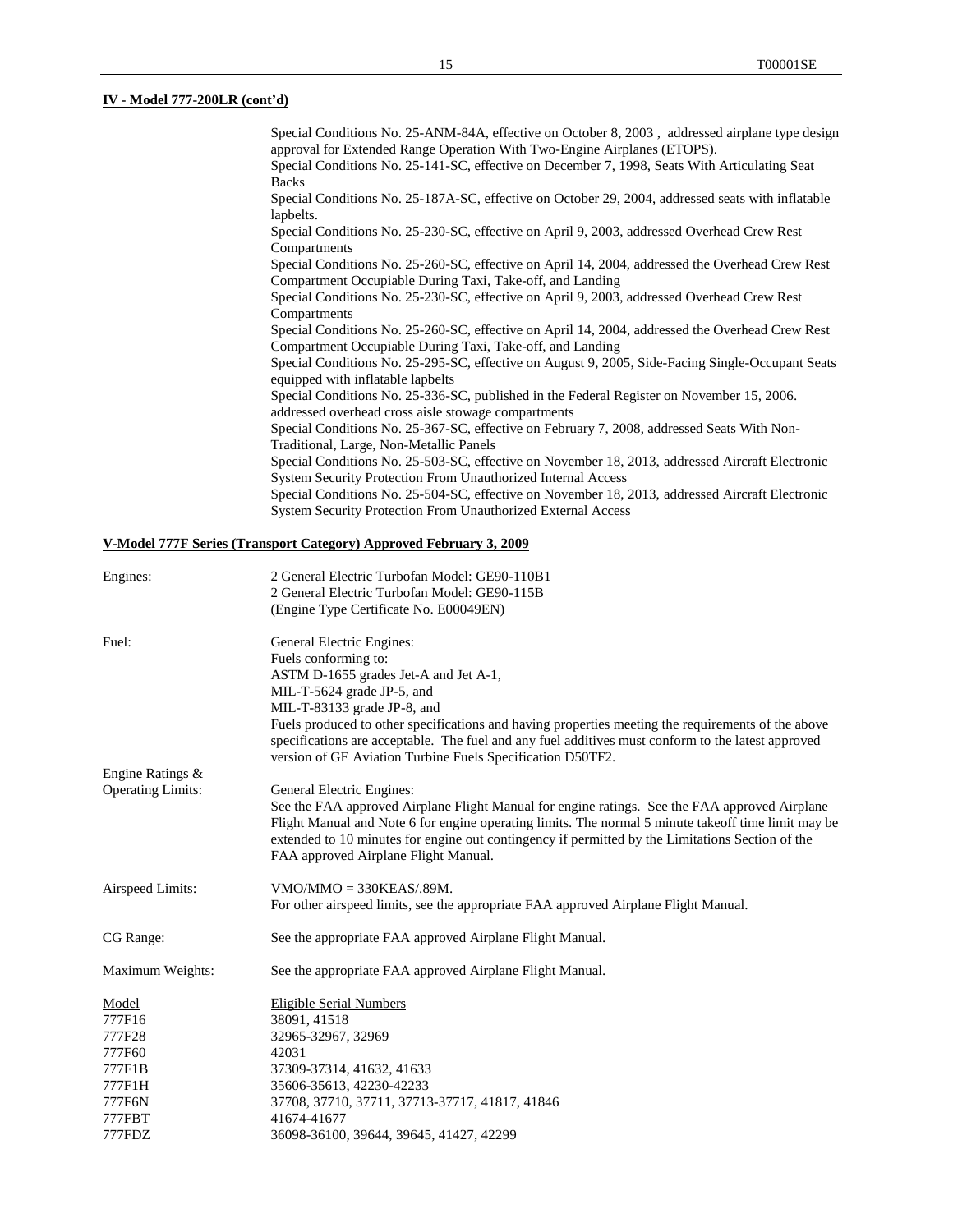## **IV - Model 777-200LR (cont'd)**

| Special Conditions No. 25-ANM-84A, effective on October 8, 2003, addressed airplane type design   |
|---------------------------------------------------------------------------------------------------|
| approval for Extended Range Operation With Two-Engine Airplanes (ETOPS).                          |
| Special Conditions No. 25-141-SC, effective on December 7, 1998, Seats With Articulating Seat     |
| <b>Backs</b>                                                                                      |
| Special Conditions No. 25-187A-SC, effective on October 29, 2004, addressed seats with inflatable |
| lapbelts.                                                                                         |
| Special Conditions No. 25-230-SC, effective on April 9, 2003, addressed Overhead Crew Rest        |
| Compartments                                                                                      |
| Special Conditions No. 25-260-SC, effective on April 14, 2004, addressed the Overhead Crew Rest   |
| Compartment Occupiable During Taxi, Take-off, and Landing                                         |
| Special Conditions No. 25-230-SC, effective on April 9, 2003, addressed Overhead Crew Rest        |
| Compartments                                                                                      |
| Special Conditions No. 25-260-SC, effective on April 14, 2004, addressed the Overhead Crew Rest   |
| Compartment Occupiable During Taxi, Take-off, and Landing                                         |
| Special Conditions No. 25-295-SC, effective on August 9, 2005, Side-Facing Single-Occupant Seats  |
| equipped with inflatable lapbelts                                                                 |
| Special Conditions No. 25-336-SC, published in the Federal Register on November 15, 2006.         |
| addressed overhead cross aisle stowage compartments                                               |
| Special Conditions No. 25-367-SC, effective on February 7, 2008, addressed Seats With Non-        |
| Traditional, Large, Non-Metallic Panels                                                           |
| Special Conditions No. 25-503-SC, effective on November 18, 2013, addressed Aircraft Electronic   |
| <b>System Security Protection From Unauthorized Internal Access</b>                               |
| Special Conditions No. 25-504-SC, effective on November 18, 2013, addressed Aircraft Electronic   |
| <b>System Security Protection From Unauthorized External Access</b>                               |
|                                                                                                   |

# **V-Model 777F Series (Transport Category) Approved February 3, 2009**

| Engines:                 | 2 General Electric Turbofan Model: GE90-110B1                                                       |  |
|--------------------------|-----------------------------------------------------------------------------------------------------|--|
|                          | 2 General Electric Turbofan Model: GE90-115B                                                        |  |
|                          | (Engine Type Certificate No. E00049EN)                                                              |  |
| Fuel:                    | General Electric Engines:                                                                           |  |
|                          | Fuels conforming to:                                                                                |  |
|                          | ASTM D-1655 grades Jet-A and Jet A-1,                                                               |  |
|                          | MIL-T-5624 grade JP-5, and                                                                          |  |
|                          | MIL-T-83133 grade JP-8, and                                                                         |  |
|                          | Fuels produced to other specifications and having properties meeting the requirements of the above  |  |
|                          | specifications are acceptable. The fuel and any fuel additives must conform to the latest approved  |  |
|                          | version of GE Aviation Turbine Fuels Specification D50TF2.                                          |  |
| Engine Ratings &         |                                                                                                     |  |
| <b>Operating Limits:</b> | General Electric Engines:                                                                           |  |
|                          | See the FAA approved Airplane Flight Manual for engine ratings. See the FAA approved Airplane       |  |
|                          | Flight Manual and Note 6 for engine operating limits. The normal 5 minute takeoff time limit may be |  |
|                          | extended to 10 minutes for engine out contingency if permitted by the Limitations Section of the    |  |
|                          | FAA approved Airplane Flight Manual.                                                                |  |
| Airspeed Limits:         | $VMO/MMO = 330KEAS/.89M.$                                                                           |  |
|                          | For other airspeed limits, see the appropriate FAA approved Airplane Flight Manual.                 |  |
| CG Range:                | See the appropriate FAA approved Airplane Flight Manual.                                            |  |
| Maximum Weights:         | See the appropriate FAA approved Airplane Flight Manual.                                            |  |
| Model                    | <b>Eligible Serial Numbers</b>                                                                      |  |
| 777F16                   | 38091, 41518                                                                                        |  |
| 777F28                   | 32965-32967, 32969                                                                                  |  |
| 777F60                   | 42031                                                                                               |  |
| 777F1B                   | 37309-37314, 41632, 41633                                                                           |  |
| 777F1H                   | 35606-35613, 42230-42233                                                                            |  |
| 777F6N                   | 37708, 37710, 37711, 37713-37717, 41817, 41846                                                      |  |
| 777FBT                   | 41674-41677                                                                                         |  |
| 777FDZ                   | 36098-36100, 39644, 39645, 41427, 42299                                                             |  |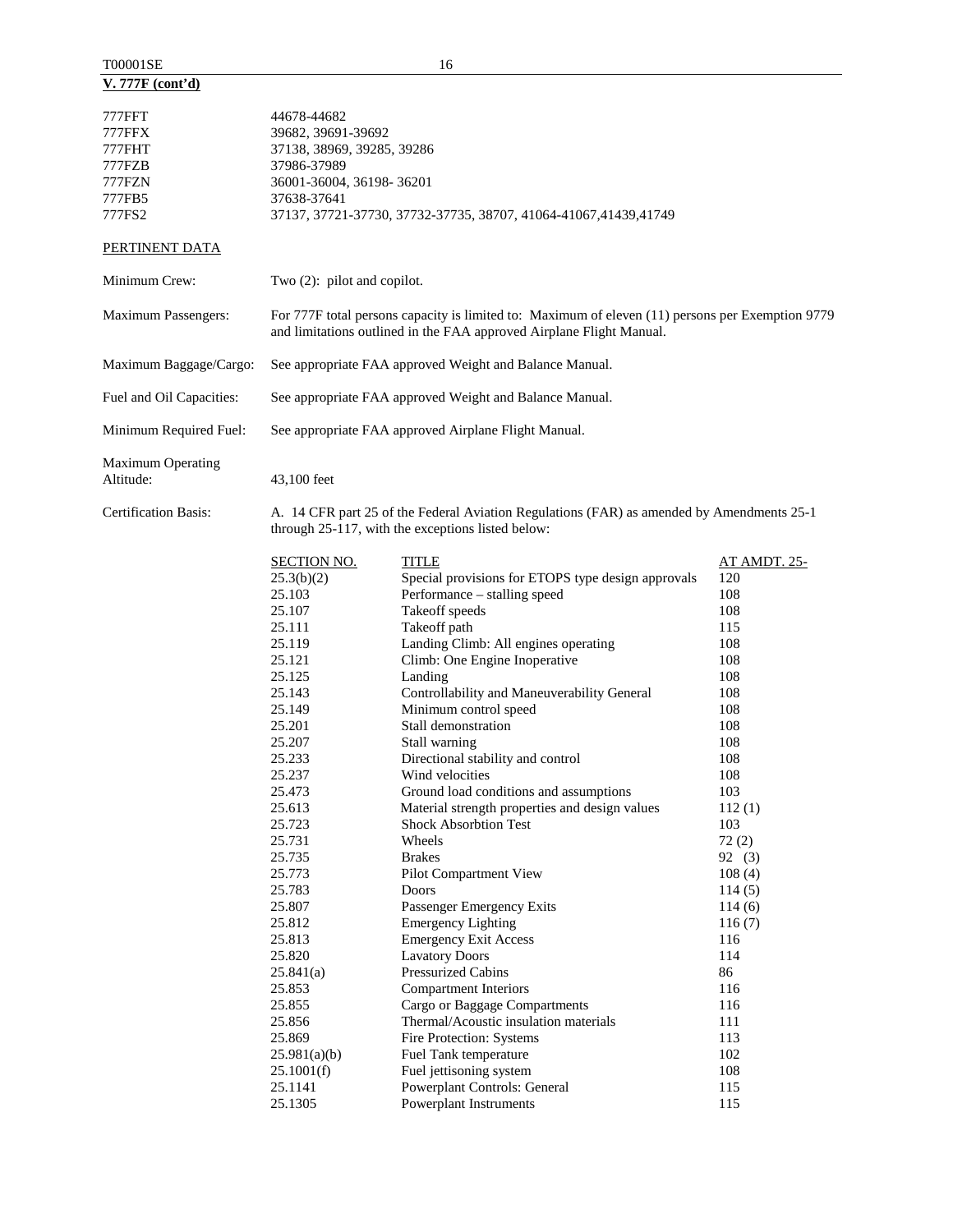| T00001SE         |  |
|------------------|--|
| V. 777F (cont'd) |  |

| 777FFT<br>777FFX<br>777FHT<br>777FZB<br>777FZN<br>777FB5<br>777FS2 | 44678-44682<br>39682, 39691-39692<br>37138, 38969, 39285, 39286<br>37986-37989<br>36001-36004, 36198-36201<br>37638-37641                                                                                            | 37137, 37721-37730, 37732-37735, 38707, 41064-41067, 41439, 41749                                                                                                                                                                                                                                                                                                                                                                                                                                                                                                                 |                                                                                                                                                                     |
|--------------------------------------------------------------------|----------------------------------------------------------------------------------------------------------------------------------------------------------------------------------------------------------------------|-----------------------------------------------------------------------------------------------------------------------------------------------------------------------------------------------------------------------------------------------------------------------------------------------------------------------------------------------------------------------------------------------------------------------------------------------------------------------------------------------------------------------------------------------------------------------------------|---------------------------------------------------------------------------------------------------------------------------------------------------------------------|
| PERTINENT DATA                                                     |                                                                                                                                                                                                                      |                                                                                                                                                                                                                                                                                                                                                                                                                                                                                                                                                                                   |                                                                                                                                                                     |
| Minimum Crew:                                                      | Two (2): pilot and copilot.                                                                                                                                                                                          |                                                                                                                                                                                                                                                                                                                                                                                                                                                                                                                                                                                   |                                                                                                                                                                     |
| Maximum Passengers:                                                |                                                                                                                                                                                                                      | For 777F total persons capacity is limited to: Maximum of eleven (11) persons per Exemption 9779<br>and limitations outlined in the FAA approved Airplane Flight Manual.                                                                                                                                                                                                                                                                                                                                                                                                          |                                                                                                                                                                     |
| Maximum Baggage/Cargo:                                             |                                                                                                                                                                                                                      | See appropriate FAA approved Weight and Balance Manual.                                                                                                                                                                                                                                                                                                                                                                                                                                                                                                                           |                                                                                                                                                                     |
| Fuel and Oil Capacities:                                           | See appropriate FAA approved Weight and Balance Manual.                                                                                                                                                              |                                                                                                                                                                                                                                                                                                                                                                                                                                                                                                                                                                                   |                                                                                                                                                                     |
| Minimum Required Fuel:                                             |                                                                                                                                                                                                                      | See appropriate FAA approved Airplane Flight Manual.                                                                                                                                                                                                                                                                                                                                                                                                                                                                                                                              |                                                                                                                                                                     |
| Maximum Operating<br>Altitude:                                     | 43,100 feet                                                                                                                                                                                                          |                                                                                                                                                                                                                                                                                                                                                                                                                                                                                                                                                                                   |                                                                                                                                                                     |
| <b>Certification Basis:</b>                                        |                                                                                                                                                                                                                      | A. 14 CFR part 25 of the Federal Aviation Regulations (FAR) as amended by Amendments 25-1<br>through 25-117, with the exceptions listed below:                                                                                                                                                                                                                                                                                                                                                                                                                                    |                                                                                                                                                                     |
|                                                                    | <b>SECTION NO.</b><br>25.3(b)(2)<br>25.103<br>25.107<br>25.111<br>25.119<br>25.121<br>25.125<br>25.143<br>25.149<br>25.201<br>25.207<br>25.233<br>25.237<br>25.473<br>25.613<br>25.723<br>25.731<br>25.735<br>25.773 | <b>TITLE</b><br>Special provisions for ETOPS type design approvals<br>Performance - stalling speed<br>Takeoff speeds<br>Takeoff path<br>Landing Climb: All engines operating<br>Climb: One Engine Inoperative<br>Landing<br>Controllability and Maneuverability General<br>Minimum control speed<br>Stall demonstration<br>Stall warning<br>Directional stability and control<br>Wind velocities<br>Ground load conditions and assumptions<br>Material strength properties and design values<br><b>Shock Absorbtion Test</b><br>Wheels<br><b>Brakes</b><br>Pilot Compartment View | <u>AT AMDT. 25-</u><br>120<br>108<br>108<br>115<br>108<br>108<br>108<br>108<br>108<br>108<br>108<br>108<br>108<br>103<br>112(1)<br>103<br>72(2)<br>92 (3)<br>108(4) |

25.783 Doors 114 (5) 25.807 Passenger Emergency Exits 114 (6)<br>25.812 Emergency Lighting 116 (7)

25.813 Emergency Exit Access 116<br>25.820 Lavatory Doors 114 25.820 Lavatory Doors 114<br>25.841(a) Pressurized Cabins 86 25.841(a) Pressurized Cabins 86<br>25.853 Compartment Interiors 116

25.855 Cargo or Baggage Compartments 116 25.856 Thermal/Acoustic insulation materials 111 25.869 Fire Protection: Systems 113 25.981(a)(b) Fuel Tank temperature 102<br>25.1001(f) Fuel jettisoning system 108 25.1001(f) Fuel jettisoning system 108<br>25.1141 Powerplant Controls: General 115 25.1141 Powerplant Controls: General 115<br>25.1305 Powerplant Instruments 115

Emergency Lighting

Compartment Interiors

25.1305 Powerplant Instruments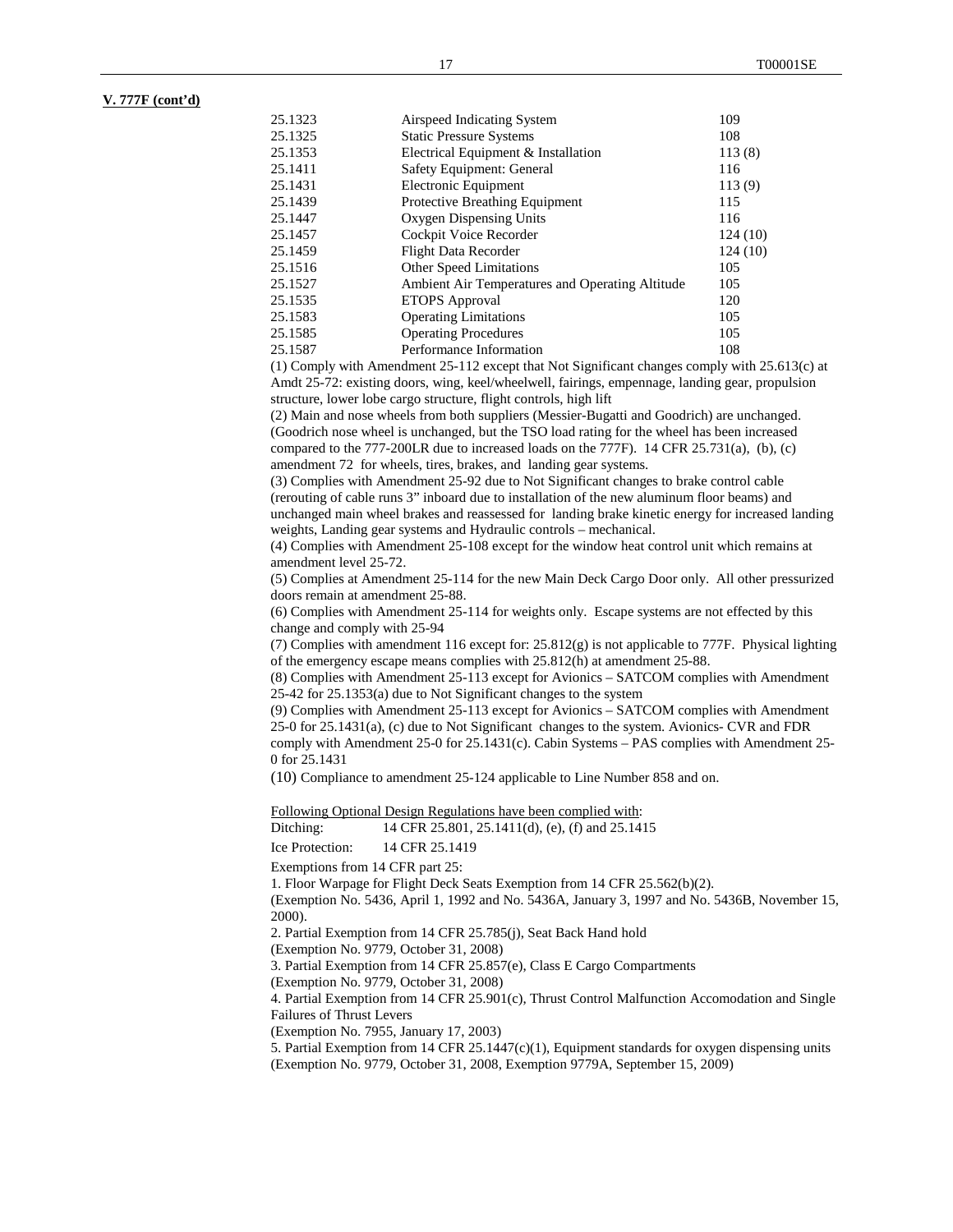### **V. 777F (cont'd)**

| 25.1323 | Airspeed Indicating System                      | 109     |
|---------|-------------------------------------------------|---------|
| 25.1325 | <b>Static Pressure Systems</b>                  | 108     |
| 25.1353 | Electrical Equipment & Installation             | 113(8)  |
| 25.1411 | Safety Equipment: General                       | 116     |
| 25.1431 | Electronic Equipment                            | 113(9)  |
| 25.1439 | Protective Breathing Equipment                  | 115     |
| 25.1447 | Oxygen Dispensing Units                         | 116     |
| 25.1457 | Cockpit Voice Recorder                          | 124(10) |
| 25.1459 | Flight Data Recorder                            | 124(10) |
| 25.1516 | Other Speed Limitations                         | 105     |
| 25.1527 | Ambient Air Temperatures and Operating Altitude | 105     |
| 25.1535 | <b>ETOPS</b> Approval                           | 120     |
| 25.1583 | <b>Operating Limitations</b>                    | 105     |
| 25.1585 | <b>Operating Procedures</b>                     | 105     |
| 25.1587 | Performance Information                         | 108     |

(1) Comply with Amendment 25-112 except that Not Significant changes comply with 25.613(c) at Amdt 25-72: existing doors, wing, keel/wheelwell, fairings, empennage, landing gear, propulsion structure, lower lobe cargo structure, flight controls, high lift

(2) Main and nose wheels from both suppliers (Messier-Bugatti and Goodrich) are unchanged. (Goodrich nose wheel is unchanged, but the TSO load rating for the wheel has been increased compared to the  $777-200$ LR due to increased loads on the  $777F$ ). 14 CFR 25.731(a), (b), (c) amendment 72 for wheels, tires, brakes, and landing gear systems.

(3) Complies with Amendment 25-92 due to Not Significant changes to brake control cable (rerouting of cable runs 3" inboard due to installation of the new aluminum floor beams) and unchanged main wheel brakes and reassessed for landing brake kinetic energy for increased landing weights, Landing gear systems and Hydraulic controls – mechanical.

(4) Complies with Amendment 25-108 except for the window heat control unit which remains at amendment level 25-72.

(5) Complies at Amendment 25-114 for the new Main Deck Cargo Door only. All other pressurized doors remain at amendment 25-88.

(6) Complies with Amendment 25-114 for weights only. Escape systems are not effected by this change and comply with 25-94

(7) Complies with amendment 116 except for: 25.812(g) is not applicable to 777F. Physical lighting of the emergency escape means complies with 25.812(h) at amendment 25-88.

(8) Complies with Amendment 25-113 except for Avionics – SATCOM complies with Amendment 25-42 for 25.1353(a) due to Not Significant changes to the system

(9) Complies with Amendment 25-113 except for Avionics – SATCOM complies with Amendment 25-0 for 25.1431(a), (c) due to Not Significant changes to the system. Avionics- CVR and FDR comply with Amendment 25-0 for 25.1431(c). Cabin Systems – PAS complies with Amendment 25- 0 for 25.1431

(10) Compliance to amendment 25-124 applicable to Line Number 858 and on.

Following Optional Design Regulations have been complied with:

Ditching: 14 CFR 25.801, 25.1411(d), (e), (f) and 25.1415

Ice Protection: 14 CFR 25.1419

Exemptions from 14 CFR part 25:

1. Floor Warpage for Flight Deck Seats Exemption from 14 CFR 25.562(b)(2).

(Exemption No. 5436, April 1, 1992 and No. 5436A, January 3, 1997 and No. 5436B, November 15, 2000).

2. Partial Exemption from 14 CFR 25.785(j), Seat Back Hand hold

(Exemption No. 9779, October 31, 2008)

3. Partial Exemption from 14 CFR 25.857(e), Class E Cargo Compartments

(Exemption No. 9779, October 31, 2008)

4. Partial Exemption from 14 CFR 25.901(c), Thrust Control Malfunction Accomodation and Single Failures of Thrust Levers

(Exemption No. 7955, January 17, 2003)

5. Partial Exemption from 14 CFR 25.1447(c)(1), Equipment standards for oxygen dispensing units (Exemption No. 9779, October 31, 2008, Exemption 9779A, September 15, 2009)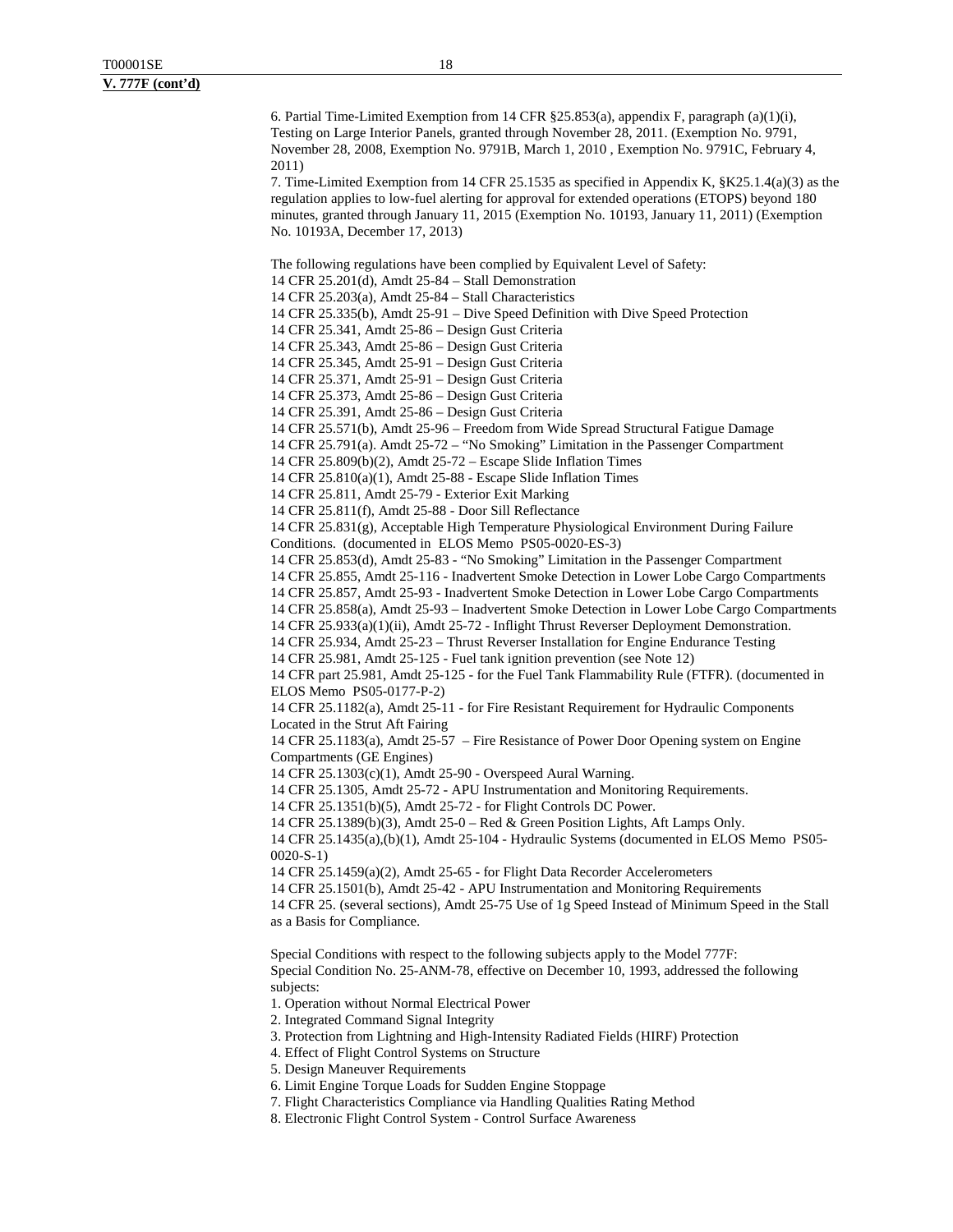6. Partial Time-Limited Exemption from 14 CFR §25.853(a), appendix F, paragraph (a)(1)(i), Testing on Large Interior Panels, granted through November 28, 2011. (Exemption No. 9791, November 28, 2008, Exemption No. 9791B, March 1, 2010 , Exemption No. 9791C, February 4, 2011) 7. Time-Limited Exemption from 14 CFR 25.1535 as specified in Appendix K, §K25.1.4(a)(3) as the regulation applies to low-fuel alerting for approval for extended operations (ETOPS) beyond 180 minutes, granted through January 11, 2015 (Exemption No. 10193, January 11, 2011) (Exemption No. 10193A, December 17, 2013) The following regulations have been complied by Equivalent Level of Safety: 14 CFR 25.201(d), Amdt 25-84 – Stall Demonstration 14 CFR 25.203(a), Amdt 25-84 – Stall Characteristics 14 CFR 25.335(b), Amdt 25-91 – Dive Speed Definition with Dive Speed Protection 14 CFR 25.341, Amdt 25-86 – Design Gust Criteria 14 CFR 25.343, Amdt 25-86 – Design Gust Criteria 14 CFR 25.345, Amdt 25-91 – Design Gust Criteria 14 CFR 25.371, Amdt 25-91 – Design Gust Criteria 14 CFR 25.373, Amdt 25-86 – Design Gust Criteria 14 CFR 25.391, Amdt 25-86 – Design Gust Criteria 14 CFR 25.571(b), Amdt 25-96 – Freedom from Wide Spread Structural Fatigue Damage 14 CFR 25.791(a). Amdt 25-72 – "No Smoking" Limitation in the Passenger Compartment 14 CFR 25.809(b)(2), Amdt 25-72 – Escape Slide Inflation Times 14 CFR 25.810(a)(1), Amdt 25-88 - Escape Slide Inflation Times 14 CFR 25.811, Amdt 25-79 - Exterior Exit Marking 14 CFR 25.811(f), Amdt 25-88 - Door Sill Reflectance 14 CFR 25.831(g), Acceptable High Temperature Physiological Environment During Failure Conditions. (documented in ELOS Memo PS05-0020-ES-3) 14 CFR 25.853(d), Amdt 25-83 - "No Smoking" Limitation in the Passenger Compartment 14 CFR 25.855, Amdt 25-116 - Inadvertent Smoke Detection in Lower Lobe Cargo Compartments 14 CFR 25.857, Amdt 25-93 - Inadvertent Smoke Detection in Lower Lobe Cargo Compartments 14 CFR 25.858(a), Amdt 25-93 – Inadvertent Smoke Detection in Lower Lobe Cargo Compartments 14 CFR 25.933(a)(1)(ii), Amdt 25-72 - Inflight Thrust Reverser Deployment Demonstration. 14 CFR 25.934, Amdt 25-23 – Thrust Reverser Installation for Engine Endurance Testing 14 CFR 25.981, Amdt 25-125 - Fuel tank ignition prevention (see Note 12) 14 CFR part 25.981, Amdt 25-125 - for the Fuel Tank Flammability Rule (FTFR). (documented in ELOS Memo PS05-0177-P-2) 14 CFR 25.1182(a), Amdt 25-11 - for Fire Resistant Requirement for Hydraulic Components Located in the Strut Aft Fairing 14 CFR 25.1183(a), Amdt 25-57 – Fire Resistance of Power Door Opening system on Engine Compartments (GE Engines)

14 CFR 25.1303(c)(1), Amdt 25-90 - Overspeed Aural Warning.

14 CFR 25.1305, Amdt 25-72 - APU Instrumentation and Monitoring Requirements.

14 CFR 25.1351(b)(5), Amdt 25-72 - for Flight Controls DC Power.

14 CFR 25.1389(b)(3), Amdt 25-0 – Red & Green Position Lights, Aft Lamps Only.

14 CFR 25.1435(a),(b)(1), Amdt 25-104 - Hydraulic Systems (documented in ELOS Memo PS05- 0020-S-1)

14 CFR 25.1459(a)(2), Amdt 25-65 - for Flight Data Recorder Accelerometers

14 CFR 25.1501(b), Amdt 25-42 - APU Instrumentation and Monitoring Requirements

14 CFR 25. (several sections), Amdt 25-75 Use of 1g Speed Instead of Minimum Speed in the Stall as a Basis for Compliance.

Special Conditions with respect to the following subjects apply to the Model 777F: Special Condition No. 25-ANM-78, effective on December 10, 1993, addressed the following subjects:

1. Operation without Normal Electrical Power

2. Integrated Command Signal Integrity

3. Protection from Lightning and High-Intensity Radiated Fields (HIRF) Protection

4. Effect of Flight Control Systems on Structure

5. Design Maneuver Requirements

6. Limit Engine Torque Loads for Sudden Engine Stoppage

7. Flight Characteristics Compliance via Handling Qualities Rating Method

8. Electronic Flight Control System - Control Surface Awareness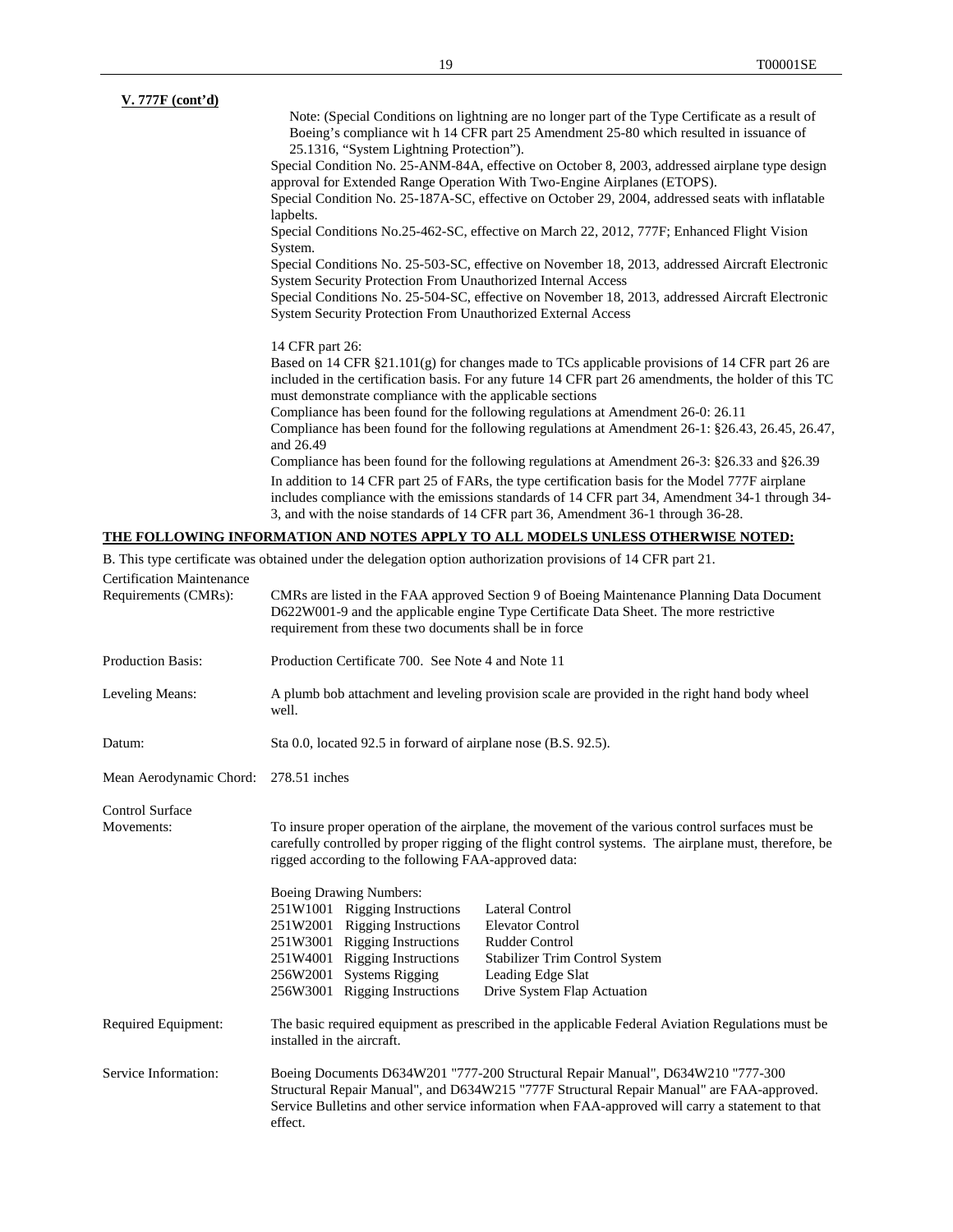| V. 777F (cont'd) |                                                                                                                                                                                                                                                                        |
|------------------|------------------------------------------------------------------------------------------------------------------------------------------------------------------------------------------------------------------------------------------------------------------------|
|                  | Note: (Special Conditions on lightning are no longer part of the Type Certificate as a result of                                                                                                                                                                       |
|                  | Boeing's compliance with 14 CFR part 25 Amendment 25-80 which resulted in issuance of                                                                                                                                                                                  |
|                  | 25.1316, "System Lightning Protection").                                                                                                                                                                                                                               |
|                  | Special Condition No. 25-ANM-84A, effective on October 8, 2003, addressed airplane type design<br>approval for Extended Range Operation With Two-Engine Airplanes (ETOPS).                                                                                             |
|                  | Special Condition No. 25-187A-SC, effective on October 29, 2004, addressed seats with inflatable<br>lapbelts.                                                                                                                                                          |
|                  | Special Conditions No.25-462-SC, effective on March 22, 2012, 777F; Enhanced Flight Vision<br>System.                                                                                                                                                                  |
|                  | Special Conditions No. 25-503-SC, effective on November 18, 2013, addressed Aircraft Electronic<br>System Security Protection From Unauthorized Internal Access                                                                                                        |
|                  | Special Conditions No. 25-504-SC, effective on November 18, 2013, addressed Aircraft Electronic<br><b>System Security Protection From Unauthorized External Access</b>                                                                                                 |
|                  | 14 CFR part 26:                                                                                                                                                                                                                                                        |
|                  | Based on 14 CFR $\S 21.101(g)$ for changes made to TCs applicable provisions of 14 CFR part 26 are<br>included in the certification basis. For any future 14 CFR part 26 amendments, the holder of this TC<br>must demonstrate compliance with the applicable sections |
|                  | Compliance has been found for the following regulations at Amendment 26-0: 26.11                                                                                                                                                                                       |
|                  | Compliance has been found for the following regulations at Amendment 26-1: §26.43, 26.45, 26.47,<br>and 26.49                                                                                                                                                          |
|                  | Compliance has been found for the following regulations at Amendment 26-3: $\S 26.33$ and $\S 26.39$                                                                                                                                                                   |
|                  | In addition to 14 CFR part 25 of FARs, the type certification basis for the Model 777F airplane<br>includes compliance with the emissions standards of 14 CFR part 34, Amendment 34-1 through 34-                                                                      |
|                  | 3, and with the noise standards of 14 CFR part 36, Amendment 36-1 through 36-28.                                                                                                                                                                                       |
|                  | <u>THE FOLLOWING INFORMATION AND NOTES APPLY TO ALL MODELS UNLESS OTHERWISE NOTED:</u>                                                                                                                                                                                 |

B. This type certificate was obtained under the delegation option authorization provisions of 14 CFR part 21.

| D. This type ecrimeate was obtained ander the delegation option additionzation provisions of 14 Cf ix part 21.<br><b>Certification Maintenance</b> |                                                                                                                                                                                                                                                                                                                                                                                                                                                                                                                                                                                                                                                                    |  |
|----------------------------------------------------------------------------------------------------------------------------------------------------|--------------------------------------------------------------------------------------------------------------------------------------------------------------------------------------------------------------------------------------------------------------------------------------------------------------------------------------------------------------------------------------------------------------------------------------------------------------------------------------------------------------------------------------------------------------------------------------------------------------------------------------------------------------------|--|
| Requirements (CMRs):                                                                                                                               | CMRs are listed in the FAA approved Section 9 of Boeing Maintenance Planning Data Document<br>D622W001-9 and the applicable engine Type Certificate Data Sheet. The more restrictive<br>requirement from these two documents shall be in force                                                                                                                                                                                                                                                                                                                                                                                                                     |  |
| <b>Production Basis:</b>                                                                                                                           | Production Certificate 700. See Note 4 and Note 11                                                                                                                                                                                                                                                                                                                                                                                                                                                                                                                                                                                                                 |  |
| Leveling Means:                                                                                                                                    | A plumb bob attachment and leveling provision scale are provided in the right hand body wheel<br>well.                                                                                                                                                                                                                                                                                                                                                                                                                                                                                                                                                             |  |
| Datum:                                                                                                                                             | Sta 0.0, located 92.5 in forward of airplane nose (B.S. 92.5).                                                                                                                                                                                                                                                                                                                                                                                                                                                                                                                                                                                                     |  |
| Mean Aerodynamic Chord:                                                                                                                            | $278.51$ inches                                                                                                                                                                                                                                                                                                                                                                                                                                                                                                                                                                                                                                                    |  |
| <b>Control Surface</b><br>Movements:                                                                                                               | To insure proper operation of the airplane, the movement of the various control surfaces must be<br>carefully controlled by proper rigging of the flight control systems. The airplane must, therefore, be<br>rigged according to the following FAA-approved data:<br><b>Boeing Drawing Numbers:</b><br>251W1001 Rigging Instructions<br>Lateral Control<br>251W2001 Rigging Instructions<br><b>Elevator Control</b><br>251W3001 Rigging Instructions<br><b>Rudder Control</b><br>251W4001 Rigging Instructions<br>Stabilizer Trim Control System<br>256W2001 Systems Rigging<br>Leading Edge Slat<br>256W3001 Rigging Instructions<br>Drive System Flap Actuation |  |
| Required Equipment:                                                                                                                                | The basic required equipment as prescribed in the applicable Federal Aviation Regulations must be<br>installed in the aircraft.                                                                                                                                                                                                                                                                                                                                                                                                                                                                                                                                    |  |
| Service Information:                                                                                                                               | Boeing Documents D634W201 "777-200 Structural Repair Manual", D634W210 "777-300<br>Structural Repair Manual", and D634W215 "777F Structural Repair Manual" are FAA-approved.<br>Service Bulletins and other service information when FAA-approved will carry a statement to that<br>effect.                                                                                                                                                                                                                                                                                                                                                                        |  |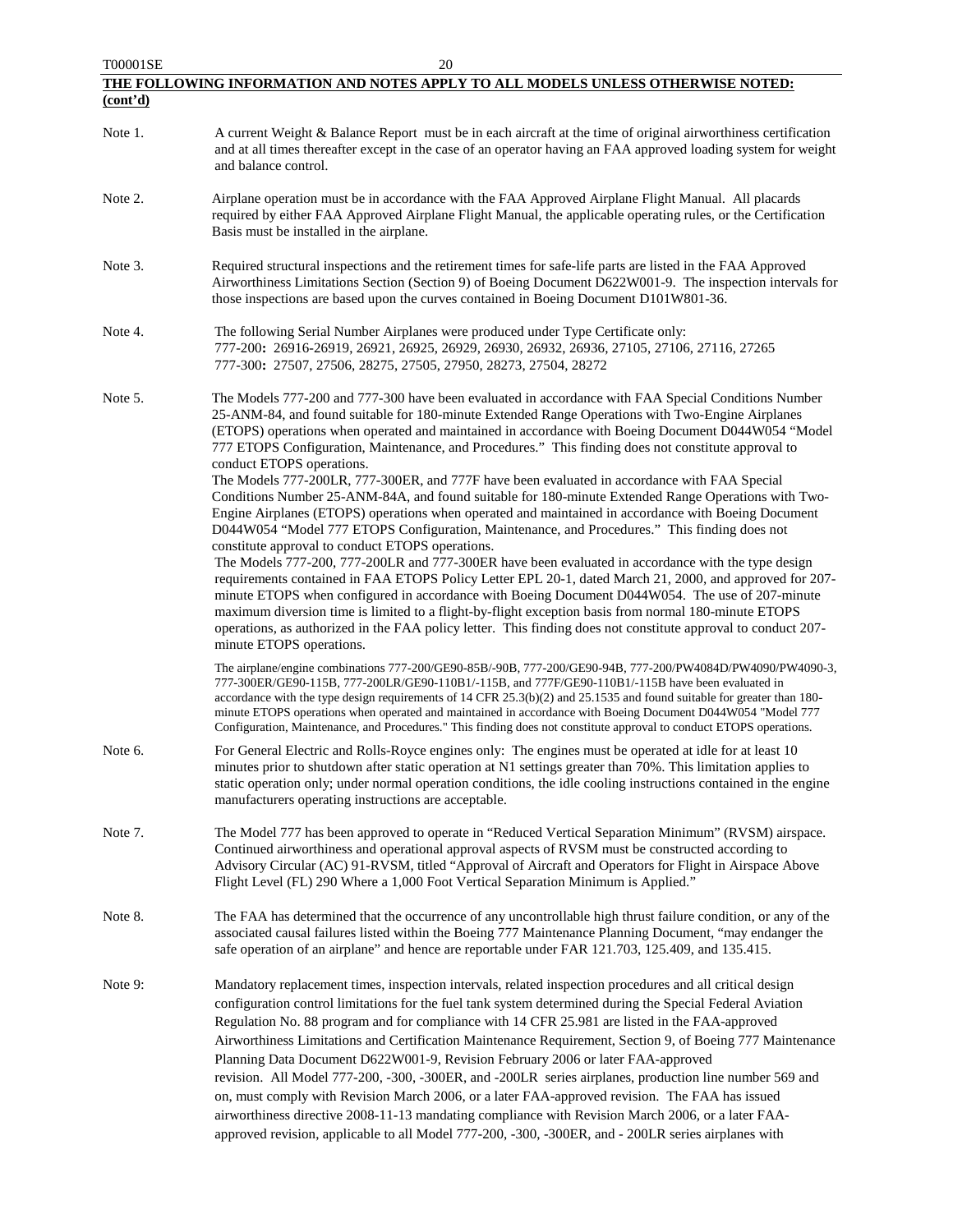| T00001SE | 20                                                                                                                                                                                                                                                                                                                                                                                                                                                                                                                                                                                                                                                                                                                                                                                                                                                                                                                                              |
|----------|-------------------------------------------------------------------------------------------------------------------------------------------------------------------------------------------------------------------------------------------------------------------------------------------------------------------------------------------------------------------------------------------------------------------------------------------------------------------------------------------------------------------------------------------------------------------------------------------------------------------------------------------------------------------------------------------------------------------------------------------------------------------------------------------------------------------------------------------------------------------------------------------------------------------------------------------------|
|          | THE FOLLOWING INFORMATION AND NOTES APPLY TO ALL MODELS UNLESS OTHERWISE NOTED:                                                                                                                                                                                                                                                                                                                                                                                                                                                                                                                                                                                                                                                                                                                                                                                                                                                                 |
| (cont'd) |                                                                                                                                                                                                                                                                                                                                                                                                                                                                                                                                                                                                                                                                                                                                                                                                                                                                                                                                                 |
| Note 1.  | A current Weight & Balance Report must be in each aircraft at the time of original airworthiness certification<br>and at all times thereafter except in the case of an operator having an FAA approved loading system for weight<br>and balance control.                                                                                                                                                                                                                                                                                                                                                                                                                                                                                                                                                                                                                                                                                        |
| Note 2.  | Airplane operation must be in accordance with the FAA Approved Airplane Flight Manual. All placards<br>required by either FAA Approved Airplane Flight Manual, the applicable operating rules, or the Certification<br>Basis must be installed in the airplane.                                                                                                                                                                                                                                                                                                                                                                                                                                                                                                                                                                                                                                                                                 |
| Note 3.  | Required structural inspections and the retirement times for safe-life parts are listed in the FAA Approved<br>Airworthiness Limitations Section (Section 9) of Boeing Document D622W001-9. The inspection intervals for<br>those inspections are based upon the curves contained in Boeing Document D101W801-36.                                                                                                                                                                                                                                                                                                                                                                                                                                                                                                                                                                                                                               |
| Note 4.  | The following Serial Number Airplanes were produced under Type Certificate only:<br>777-200: 26916-26919, 26921, 26925, 26929, 26930, 26932, 26936, 27105, 27106, 27116, 27265<br>777-300: 27507, 27506, 28275, 27505, 27950, 28273, 27504, 28272                                                                                                                                                                                                                                                                                                                                                                                                                                                                                                                                                                                                                                                                                               |
| Note 5.  | The Models 777-200 and 777-300 have been evaluated in accordance with FAA Special Conditions Number<br>25-ANM-84, and found suitable for 180-minute Extended Range Operations with Two-Engine Airplanes<br>(ETOPS) operations when operated and maintained in accordance with Boeing Document D044W054 "Model<br>777 ETOPS Configuration, Maintenance, and Procedures." This finding does not constitute approval to<br>conduct ETOPS operations.<br>The Models 777-200LR, 777-300ER, and 777F have been evaluated in accordance with FAA Special<br>Conditions Number 25-ANM-84A, and found suitable for 180-minute Extended Range Operations with Two-<br>Engine Airplanes (ETOPS) operations when operated and maintained in accordance with Boeing Document<br>D044W054 "Model 777 ETOPS Configuration, Maintenance, and Procedures." This finding does not                                                                                 |
|          | constitute approval to conduct ETOPS operations.<br>The Models 777-200, 777-200LR and 777-300ER have been evaluated in accordance with the type design<br>requirements contained in FAA ETOPS Policy Letter EPL 20-1, dated March 21, 2000, and approved for 207-<br>minute ETOPS when configured in accordance with Boeing Document D044W054. The use of 207-minute<br>maximum diversion time is limited to a flight-by-flight exception basis from normal 180-minute ETOPS<br>operations, as authorized in the FAA policy letter. This finding does not constitute approval to conduct 207-<br>minute ETOPS operations.                                                                                                                                                                                                                                                                                                                       |
|          | The airplane/engine combinations 777-200/GE90-85B/-90B, 777-200/GE90-94B, 777-200/PW4084D/PW4090/PW4090-3,<br>777-300ER/GE90-115B, 777-200LR/GE90-110B1/-115B, and 777F/GE90-110B1/-115B have been evaluated in<br>accordance with the type design requirements of 14 CFR 25.3(b)(2) and 25.1535 and found suitable for greater than 180-<br>minute ETOPS operations when operated and maintained in accordance with Boeing Document D044W054 "Model 777<br>Configuration, Maintenance, and Procedures." This finding does not constitute approval to conduct ETOPS operations.                                                                                                                                                                                                                                                                                                                                                                 |
| Note 6.  | For General Electric and Rolls-Royce engines only: The engines must be operated at idle for at least 10<br>minutes prior to shutdown after static operation at N1 settings greater than 70%. This limitation applies to<br>static operation only; under normal operation conditions, the idle cooling instructions contained in the engine<br>manufacturers operating instructions are acceptable.                                                                                                                                                                                                                                                                                                                                                                                                                                                                                                                                              |
| Note 7.  | The Model 777 has been approved to operate in "Reduced Vertical Separation Minimum" (RVSM) airspace.<br>Continued airworthiness and operational approval aspects of RVSM must be constructed according to<br>Advisory Circular (AC) 91-RVSM, titled "Approval of Aircraft and Operators for Flight in Airspace Above<br>Flight Level (FL) 290 Where a 1,000 Foot Vertical Separation Minimum is Applied."                                                                                                                                                                                                                                                                                                                                                                                                                                                                                                                                       |
| Note 8.  | The FAA has determined that the occurrence of any uncontrollable high thrust failure condition, or any of the<br>associated causal failures listed within the Boeing 777 Maintenance Planning Document, "may endanger the<br>safe operation of an airplane" and hence are reportable under FAR 121.703, 125.409, and 135.415.                                                                                                                                                                                                                                                                                                                                                                                                                                                                                                                                                                                                                   |
| Note 9:  | Mandatory replacement times, inspection intervals, related inspection procedures and all critical design<br>configuration control limitations for the fuel tank system determined during the Special Federal Aviation<br>Regulation No. 88 program and for compliance with 14 CFR 25.981 are listed in the FAA-approved<br>Airworthiness Limitations and Certification Maintenance Requirement, Section 9, of Boeing 777 Maintenance<br>Planning Data Document D622W001-9, Revision February 2006 or later FAA-approved<br>revision. All Model 777-200, -300, -300ER, and -200LR series airplanes, production line number 569 and<br>on, must comply with Revision March 2006, or a later FAA-approved revision. The FAA has issued<br>airworthiness directive 2008-11-13 mandating compliance with Revision March 2006, or a later FAA-<br>approved revision, applicable to all Model 777-200, -300, -300ER, and - 200LR series airplanes with |